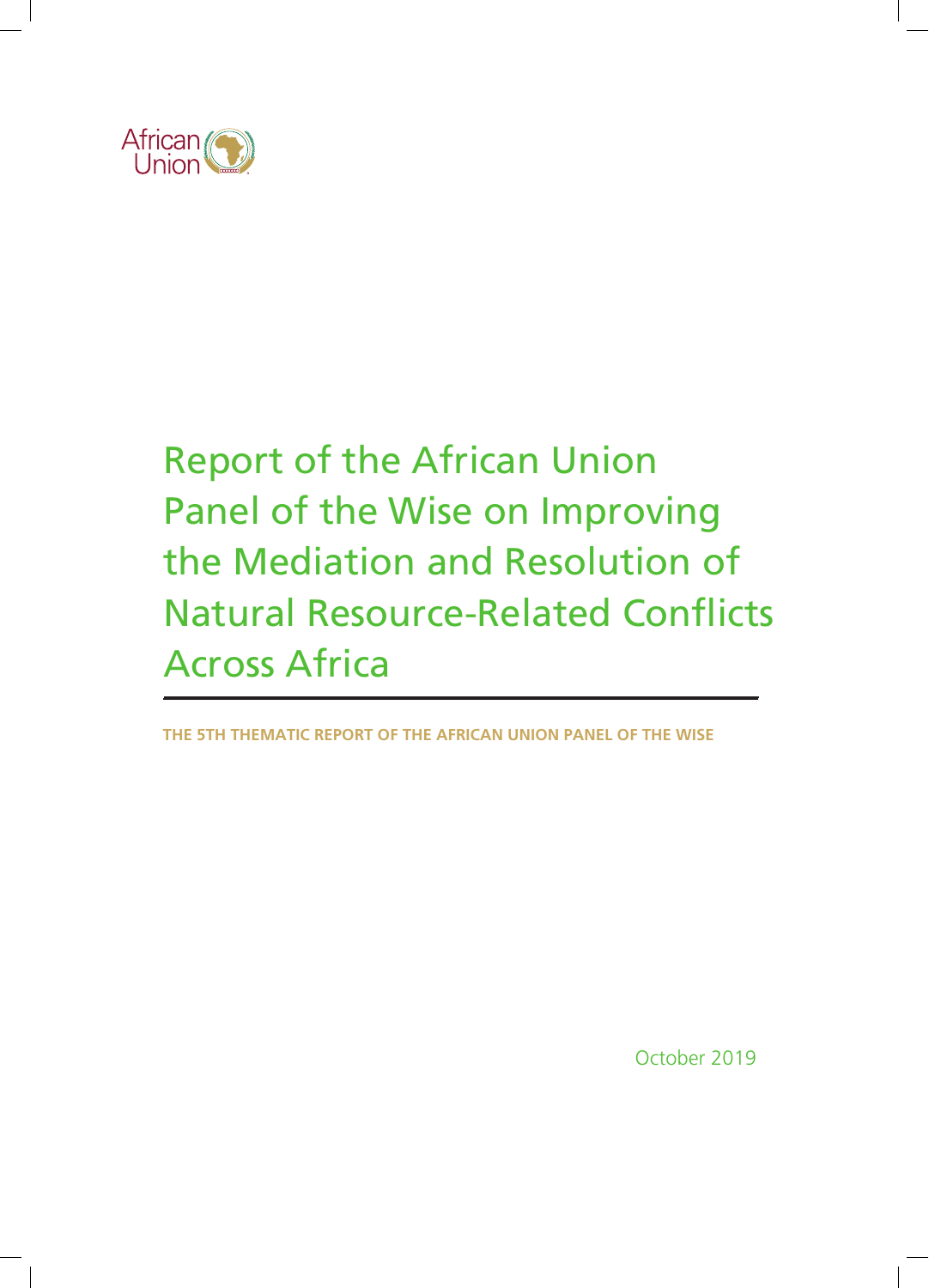

# Report of the African Union Panel of the Wise on Improving the Mediation and Resolution of Natural Resource-Related Conflicts Across Africa

**THE 5TH THEMATIC REPORT OF THE AFRICAN UNION PANEL OF THE WISE**

October 2019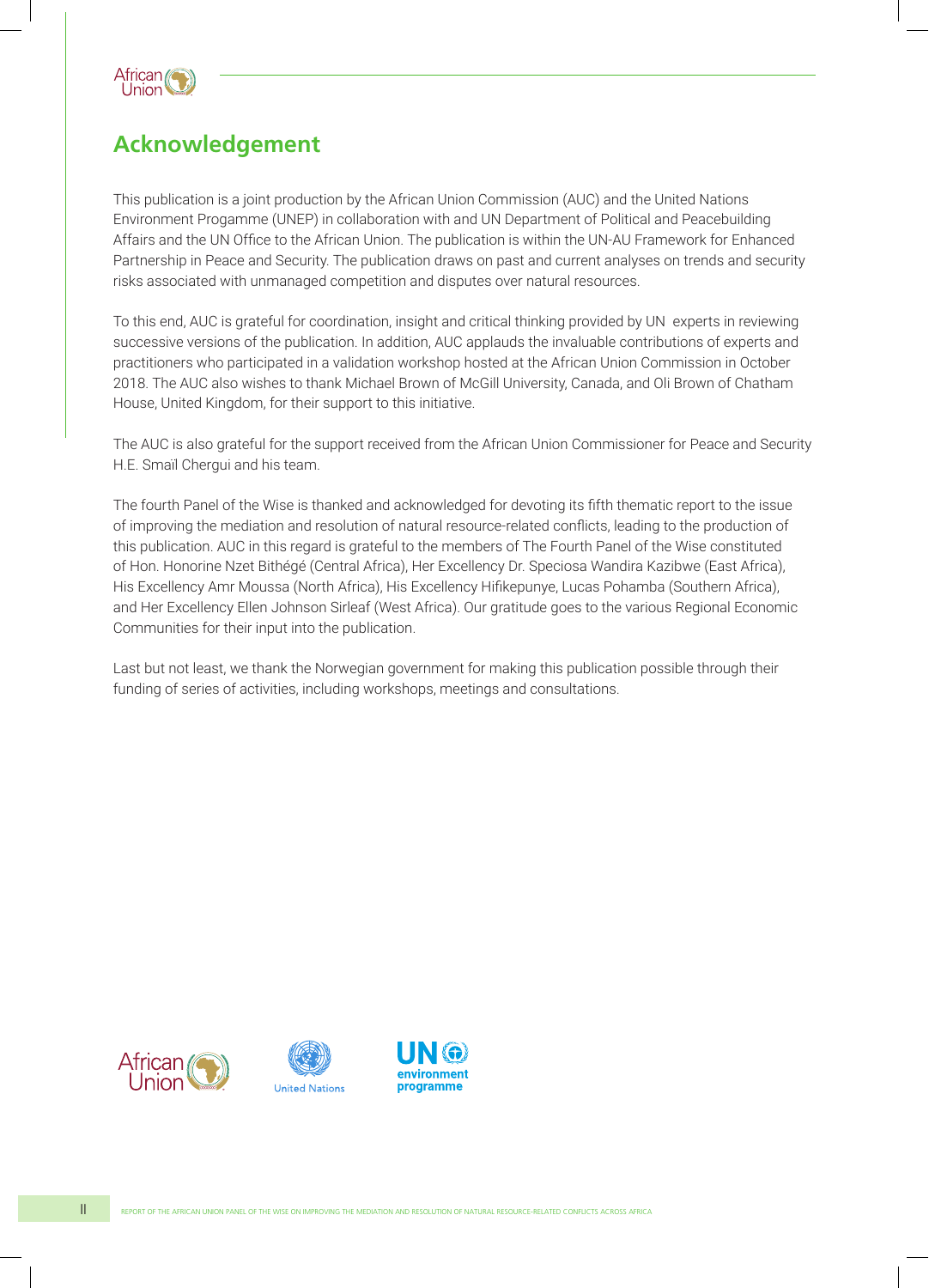

# **Acknowledgement**

This publication is a joint production by the African Union Commission (AUC) and the United Nations Environment Progamme (UNEP) in collaboration with and UN Department of Political and Peacebuilding Affairs and the UN Office to the African Union. The publication is within the UN-AU Framework for Enhanced Partnership in Peace and Security. The publication draws on past and current analyses on trends and security risks associated with unmanaged competition and disputes over natural resources.

To this end, AUC is grateful for coordination, insight and critical thinking provided by UN experts in reviewing successive versions of the publication. In addition, AUC applauds the invaluable contributions of experts and practitioners who participated in a validation workshop hosted at the African Union Commission in October 2018. The AUC also wishes to thank Michael Brown of McGill University, Canada, and Oli Brown of Chatham House, United Kingdom, for their support to this initiative.

The AUC is also grateful for the support received from the African Union Commissioner for Peace and Security H.E. Smaїl Chergui and his team.

The fourth Panel of the Wise is thanked and acknowledged for devoting its fifth thematic report to the issue of improving the mediation and resolution of natural resource-related conflicts, leading to the production of this publication. AUC in this regard is grateful to the members of The Fourth Panel of the Wise constituted of Hon. Honorine Nzet Bithégé (Central Africa), Her Excellency Dr. Speciosa Wandira Kazibwe (East Africa), His Excellency Amr Moussa (North Africa), His Excellency Hifikepunye, Lucas Pohamba (Southern Africa), and Her Excellency Ellen Johnson Sirleaf (West Africa). Our gratitude goes to the various Regional Economic Communities for their input into the publication.

Last but not least, we thank the Norwegian government for making this publication possible through their funding of series of activities, including workshops, meetings and consultations.

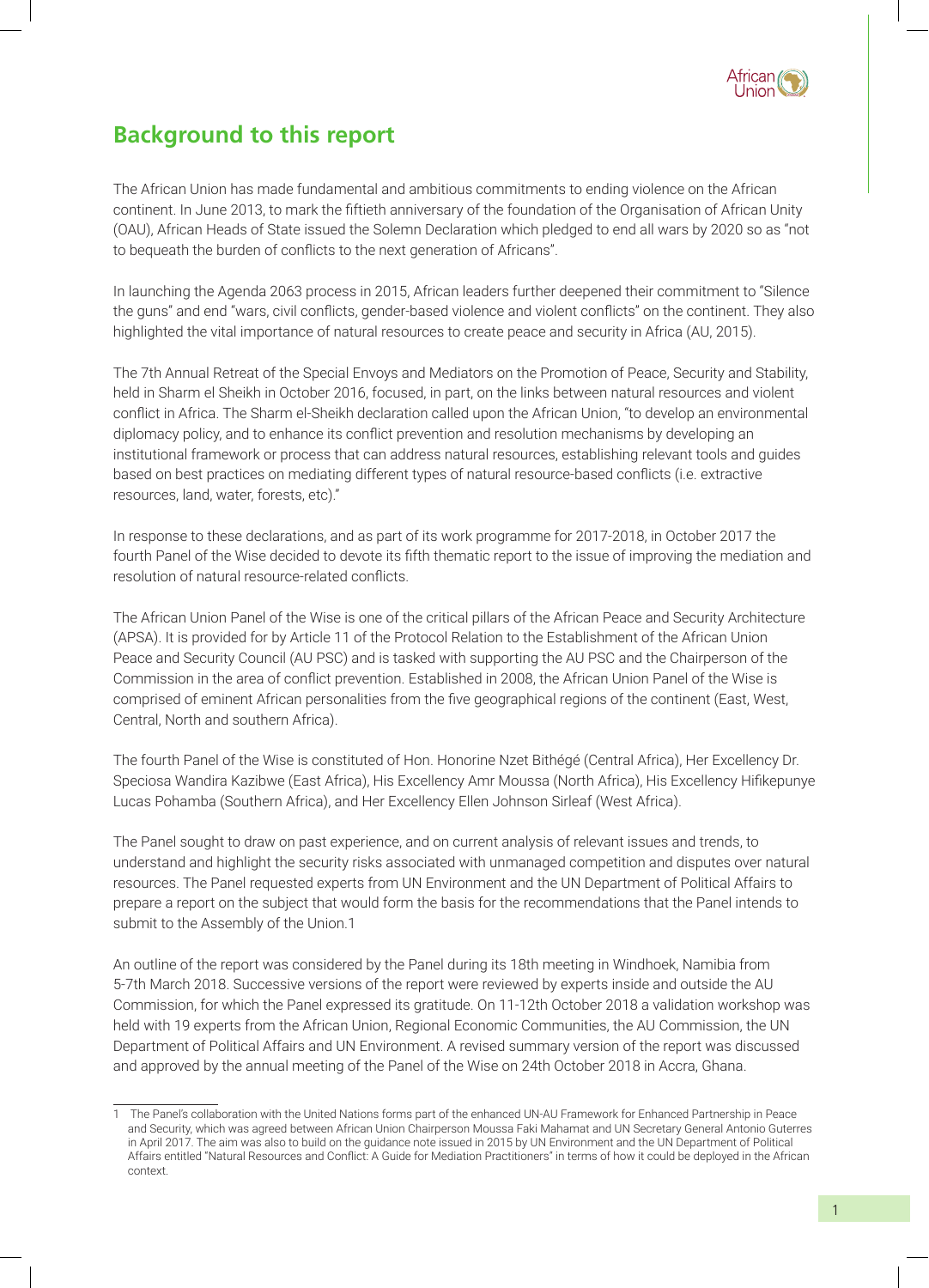

### **Background to this report**

The African Union has made fundamental and ambitious commitments to ending violence on the African continent. In June 2013, to mark the fiftieth anniversary of the foundation of the Organisation of African Unity (OAU), African Heads of State issued the Solemn Declaration which pledged to end all wars by 2020 so as "not to bequeath the burden of conflicts to the next generation of Africans".

In launching the Agenda 2063 process in 2015, African leaders further deepened their commitment to "Silence the guns" and end "wars, civil conflicts, gender-based violence and violent conflicts" on the continent. They also highlighted the vital importance of natural resources to create peace and security in Africa (AU, 2015).

The 7th Annual Retreat of the Special Envoys and Mediators on the Promotion of Peace, Security and Stability, held in Sharm el Sheikh in October 2016, focused, in part, on the links between natural resources and violent conflict in Africa. The Sharm el-Sheikh declaration called upon the African Union, "to develop an environmental diplomacy policy, and to enhance its conflict prevention and resolution mechanisms by developing an institutional framework or process that can address natural resources, establishing relevant tools and guides based on best practices on mediating different types of natural resource-based conflicts (i.e. extractive resources, land, water, forests, etc)."

In response to these declarations, and as part of its work programme for 2017-2018, in October 2017 the fourth Panel of the Wise decided to devote its fifth thematic report to the issue of improving the mediation and resolution of natural resource-related conflicts.

The African Union Panel of the Wise is one of the critical pillars of the African Peace and Security Architecture (APSA). It is provided for by Article 11 of the Protocol Relation to the Establishment of the African Union Peace and Security Council (AU PSC) and is tasked with supporting the AU PSC and the Chairperson of the Commission in the area of conflict prevention. Established in 2008, the African Union Panel of the Wise is comprised of eminent African personalities from the five geographical regions of the continent (East, West, Central, North and southern Africa).

The fourth Panel of the Wise is constituted of Hon. Honorine Nzet Bithégé (Central Africa), Her Excellency Dr. Speciosa Wandira Kazibwe (East Africa), His Excellency Amr Moussa (North Africa), His Excellency Hifikepunye Lucas Pohamba (Southern Africa), and Her Excellency Ellen Johnson Sirleaf (West Africa).

The Panel sought to draw on past experience, and on current analysis of relevant issues and trends, to understand and highlight the security risks associated with unmanaged competition and disputes over natural resources. The Panel requested experts from UN Environment and the UN Department of Political Affairs to prepare a report on the subject that would form the basis for the recommendations that the Panel intends to submit to the Assembly of the Union.1

An outline of the report was considered by the Panel during its 18th meeting in Windhoek, Namibia from 5-7th March 2018. Successive versions of the report were reviewed by experts inside and outside the AU Commission, for which the Panel expressed its gratitude. On 11-12th October 2018 a validation workshop was held with 19 experts from the African Union, Regional Economic Communities, the AU Commission, the UN Department of Political Affairs and UN Environment. A revised summary version of the report was discussed and approved by the annual meeting of the Panel of the Wise on 24th October 2018 in Accra, Ghana.

<sup>1</sup> The Panel's collaboration with the United Nations forms part of the enhanced UN-AU Framework for Enhanced Partnership in Peace and Security, which was agreed between African Union Chairperson Moussa Faki Mahamat and UN Secretary General Antonio Guterres in April 2017. The aim was also to build on the guidance note issued in 2015 by UN Environment and the UN Department of Political Affairs entitled "Natural Resources and Conflict: A Guide for Mediation Practitioners" in terms of how it could be deployed in the African context.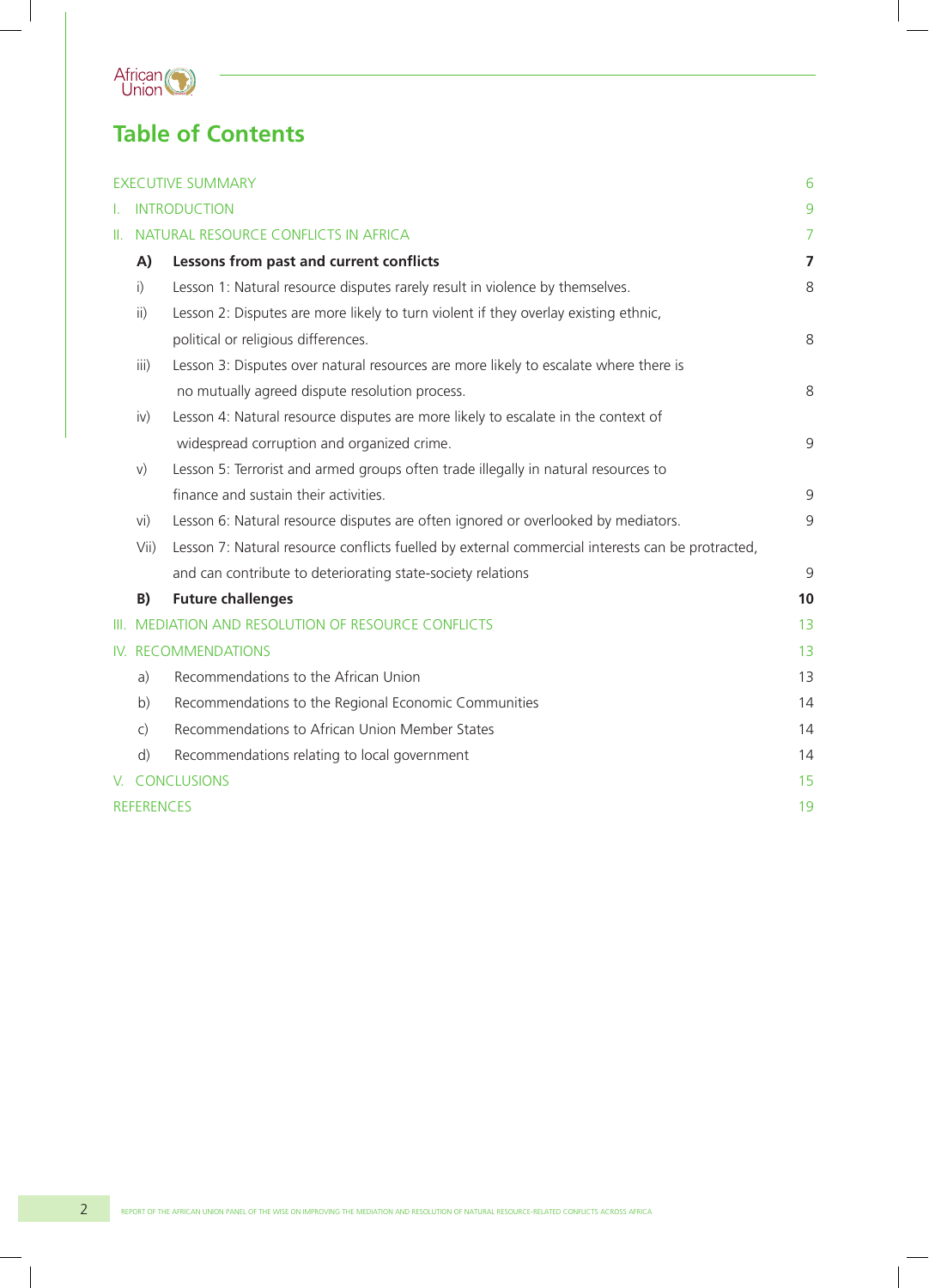

# **Table of Contents**

|    |                                      | <b>EXECUTIVE SUMMARY</b>                                                                         | 6              |  |  |  |
|----|--------------------------------------|--------------------------------------------------------------------------------------------------|----------------|--|--|--|
|    | I. INTRODUCTION                      |                                                                                                  |                |  |  |  |
| H. | NATURAL RESOURCE CONFLICTS IN AFRICA |                                                                                                  |                |  |  |  |
|    | A)                                   | Lessons from past and current conflicts                                                          | $\overline{7}$ |  |  |  |
|    | i)                                   | Lesson 1: Natural resource disputes rarely result in violence by themselves.                     | 8              |  |  |  |
|    | $\mathsf{ii}$ )                      | Lesson 2: Disputes are more likely to turn violent if they overlay existing ethnic,              |                |  |  |  |
|    |                                      | political or religious differences.                                                              | 8              |  |  |  |
|    | iii)                                 | Lesson 3: Disputes over natural resources are more likely to escalate where there is             |                |  |  |  |
|    |                                      | no mutually agreed dispute resolution process.                                                   | 8              |  |  |  |
|    | iv)                                  | Lesson 4: Natural resource disputes are more likely to escalate in the context of                |                |  |  |  |
|    |                                      | widespread corruption and organized crime.                                                       | 9              |  |  |  |
|    | V)                                   | Lesson 5: Terrorist and armed groups often trade illegally in natural resources to               |                |  |  |  |
|    |                                      | finance and sustain their activities.                                                            | 9              |  |  |  |
|    | vi)                                  | Lesson 6: Natural resource disputes are often ignored or overlooked by mediators.                | 9              |  |  |  |
|    | Vii)                                 | Lesson 7: Natural resource conflicts fuelled by external commercial interests can be protracted, |                |  |  |  |
|    |                                      | and can contribute to deteriorating state-society relations                                      | 9              |  |  |  |
|    | B)                                   | <b>Future challenges</b>                                                                         | 10             |  |  |  |
|    |                                      | III. MEDIATION AND RESOLUTION OF RESOURCE CONFLICTS                                              | 13             |  |  |  |
|    | IV. RECOMMENDATIONS                  |                                                                                                  |                |  |  |  |
|    | a)                                   | Recommendations to the African Union                                                             | 13             |  |  |  |
|    | b)                                   | Recommendations to the Regional Economic Communities                                             | 14             |  |  |  |
|    | $\mathsf{C}$                         | Recommendations to African Union Member States                                                   | 14             |  |  |  |
|    | d)                                   | Recommendations relating to local government                                                     | 14             |  |  |  |
|    |                                      | V. CONCLUSIONS                                                                                   | 15             |  |  |  |
|    | <b>REFERENCES</b>                    |                                                                                                  |                |  |  |  |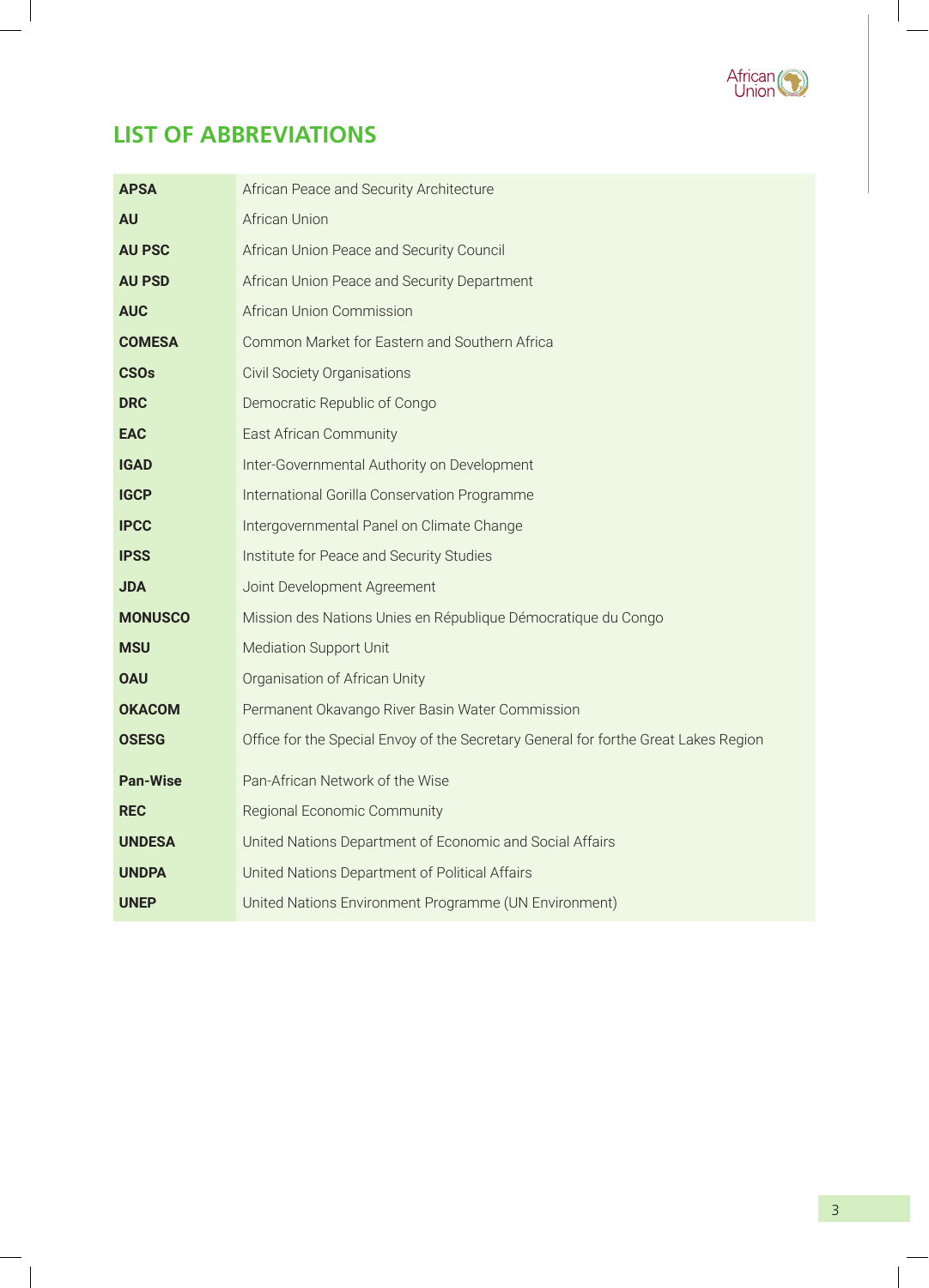

# **LIST OF ABBREVIATIONS**

| <b>APSA</b>     | African Peace and Security Architecture                                             |  |  |  |
|-----------------|-------------------------------------------------------------------------------------|--|--|--|
| <b>AU</b>       | <b>African Union</b>                                                                |  |  |  |
| <b>AU PSC</b>   | African Union Peace and Security Council                                            |  |  |  |
| <b>AU PSD</b>   | African Union Peace and Security Department                                         |  |  |  |
| <b>AUC</b>      | African Union Commission                                                            |  |  |  |
| <b>COMESA</b>   | Common Market for Eastern and Southern Africa                                       |  |  |  |
| <b>CSOs</b>     | <b>Civil Society Organisations</b>                                                  |  |  |  |
| <b>DRC</b>      | Democratic Republic of Congo                                                        |  |  |  |
| <b>EAC</b>      | East African Community                                                              |  |  |  |
| <b>IGAD</b>     | Inter-Governmental Authority on Development                                         |  |  |  |
| <b>IGCP</b>     | International Gorilla Conservation Programme                                        |  |  |  |
| <b>IPCC</b>     | Intergovernmental Panel on Climate Change                                           |  |  |  |
| <b>IPSS</b>     | Institute for Peace and Security Studies                                            |  |  |  |
| <b>JDA</b>      | Joint Development Agreement                                                         |  |  |  |
| <b>MONUSCO</b>  | Mission des Nations Unies en République Démocratique du Congo                       |  |  |  |
| <b>MSU</b>      | Mediation Support Unit                                                              |  |  |  |
| <b>OAU</b>      | Organisation of African Unity                                                       |  |  |  |
| <b>OKACOM</b>   | Permanent Okavango River Basin Water Commission                                     |  |  |  |
| <b>OSESG</b>    | Office for the Special Envoy of the Secretary General for forthe Great Lakes Region |  |  |  |
| <b>Pan-Wise</b> | Pan-African Network of the Wise                                                     |  |  |  |
| <b>REC</b>      | Regional Economic Community                                                         |  |  |  |
| <b>UNDESA</b>   | United Nations Department of Economic and Social Affairs                            |  |  |  |
| <b>UNDPA</b>    | United Nations Department of Political Affairs                                      |  |  |  |
| <b>UNEP</b>     | United Nations Environment Programme (UN Environment)                               |  |  |  |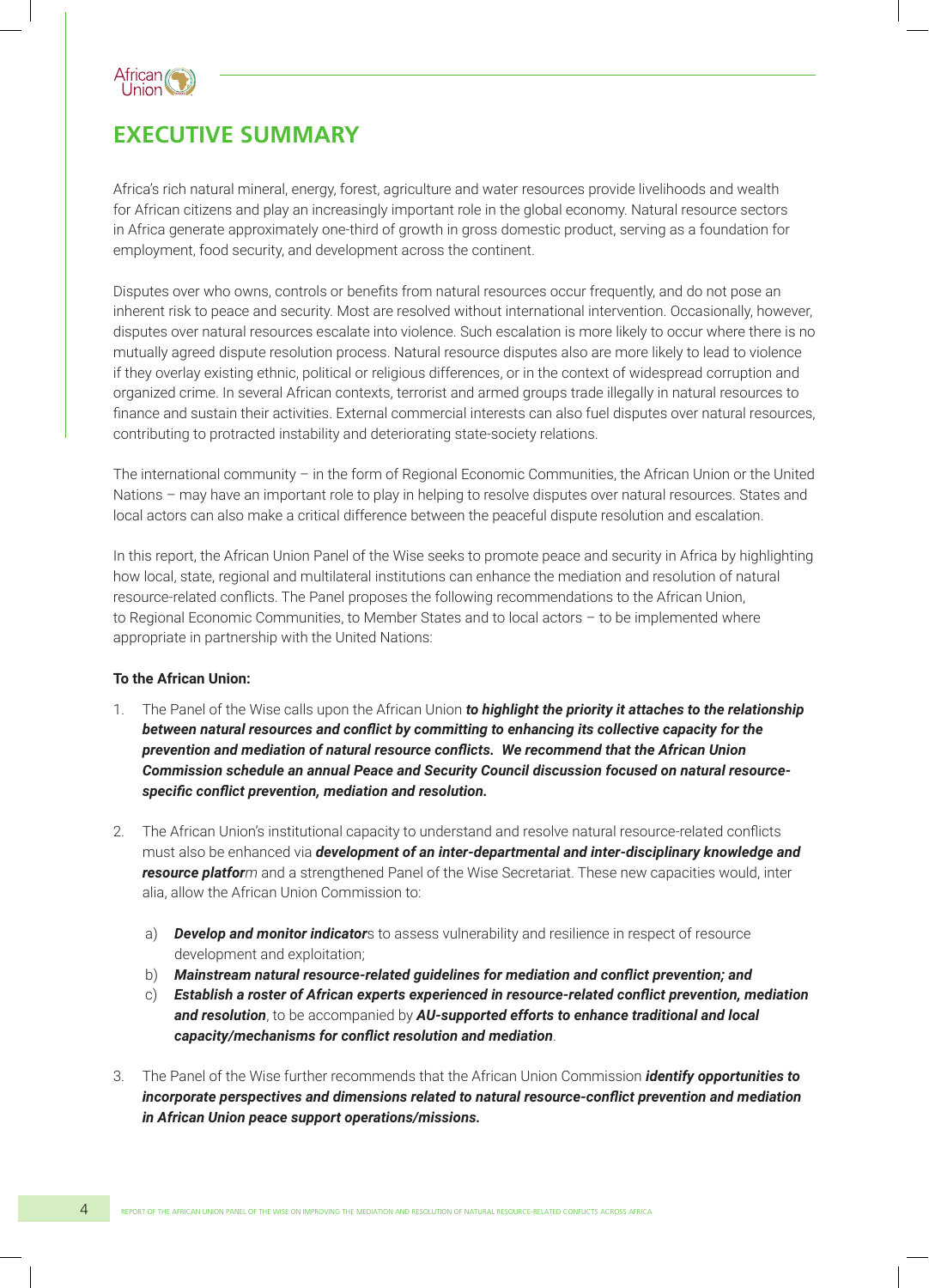

### **EXECUTIVE SUMMARY**

Africa's rich natural mineral, energy, forest, agriculture and water resources provide livelihoods and wealth for African citizens and play an increasingly important role in the global economy. Natural resource sectors in Africa generate approximately one-third of growth in gross domestic product, serving as a foundation for employment, food security, and development across the continent.

Disputes over who owns, controls or benefits from natural resources occur frequently, and do not pose an inherent risk to peace and security. Most are resolved without international intervention. Occasionally, however, disputes over natural resources escalate into violence. Such escalation is more likely to occur where there is no mutually agreed dispute resolution process. Natural resource disputes also are more likely to lead to violence if they overlay existing ethnic, political or religious differences, or in the context of widespread corruption and organized crime. In several African contexts, terrorist and armed groups trade illegally in natural resources to finance and sustain their activities. External commercial interests can also fuel disputes over natural resources, contributing to protracted instability and deteriorating state-society relations.

The international community – in the form of Regional Economic Communities, the African Union or the United Nations – may have an important role to play in helping to resolve disputes over natural resources. States and local actors can also make a critical difference between the peaceful dispute resolution and escalation.

In this report, the African Union Panel of the Wise seeks to promote peace and security in Africa by highlighting how local, state, regional and multilateral institutions can enhance the mediation and resolution of natural resource-related conflicts. The Panel proposes the following recommendations to the African Union, to Regional Economic Communities, to Member States and to local actors – to be implemented where appropriate in partnership with the United Nations:

#### **To the African Union:**

- 1. The Panel of the Wise calls upon the African Union *to highlight the priority it attaches to the relationship between natural resources and conflict by committing to enhancing its collective capacity for the prevention and mediation of natural resource conflicts. We recommend that the African Union Commission schedule an annual Peace and Security Council discussion focused on natural resourcespecific conflict prevention, mediation and resolution.*
- 2. The African Union's institutional capacity to understand and resolve natural resource-related conflicts must also be enhanced via *development of an inter-departmental and inter-disciplinary knowledge and resource platform* and a strengthened Panel of the Wise Secretariat. These new capacities would, inter alia, allow the African Union Commission to:
	- a) *Develop and monitor indicator*s to assess vulnerability and resilience in respect of resource development and exploitation;
	- b) *Mainstream natural resource-related guidelines for mediation and conflict prevention; and*
	- c) *Establish a roster of African experts experienced in resource-related conflict prevention, mediation and resolution*, to be accompanied by *AU-supported efforts to enhance traditional and local capacity/mechanisms for conflict resolution and mediation*.
- 3. The Panel of the Wise further recommends that the African Union Commission *identify opportunities to incorporate perspectives and dimensions related to natural resource-conflict prevention and mediation in African Union peace support operations/missions.*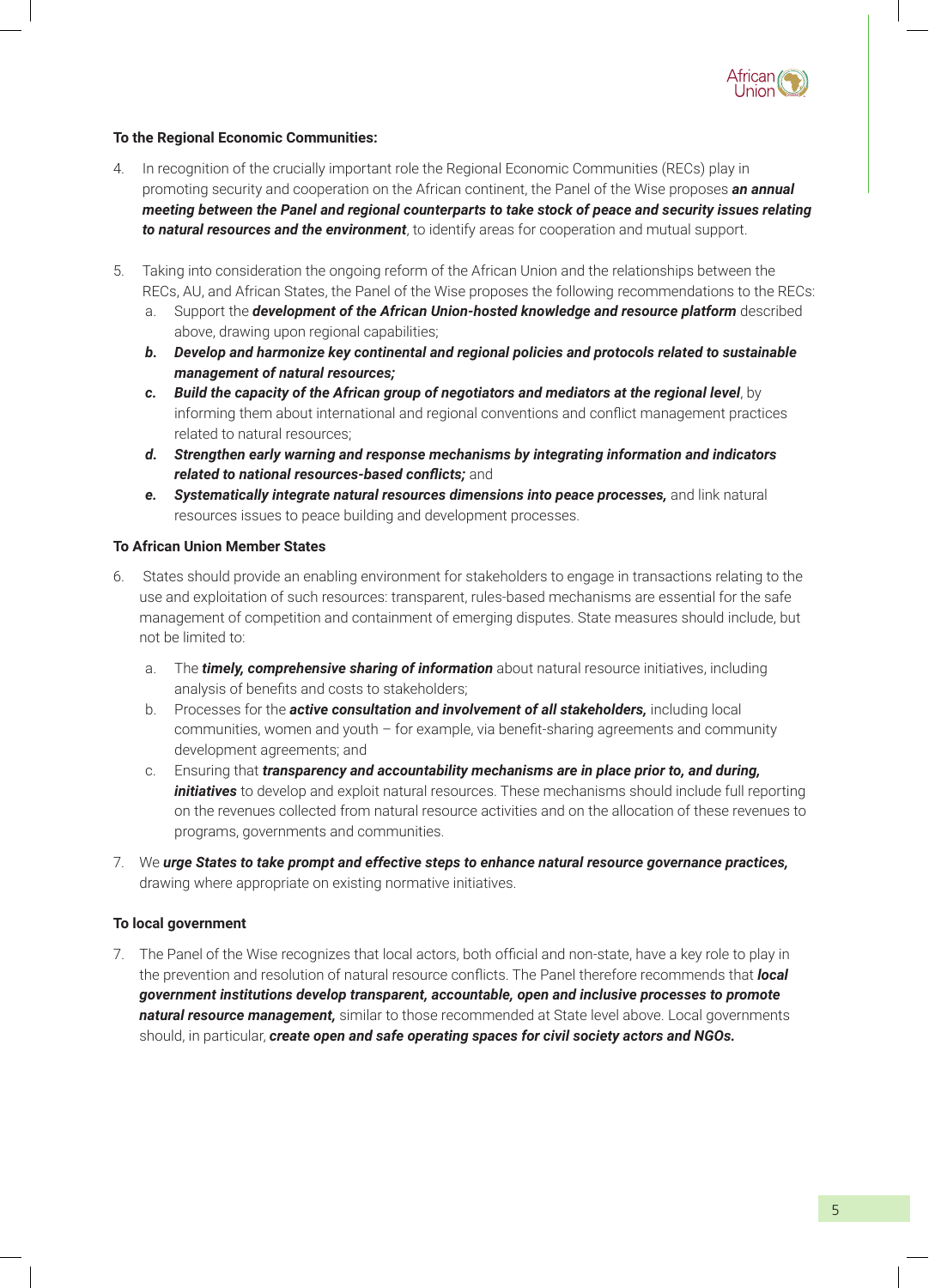

#### **To the Regional Economic Communities:**

- 4. In recognition of the crucially important role the Regional Economic Communities (RECs) play in promoting security and cooperation on the African continent, the Panel of the Wise proposes *an annual meeting between the Panel and regional counterparts to take stock of peace and security issues relating to natural resources and the environment*, to identify areas for cooperation and mutual support.
- 5. Taking into consideration the ongoing reform of the African Union and the relationships between the RECs, AU, and African States, the Panel of the Wise proposes the following recommendations to the RECs:
	- a. Support the *development of the African Union-hosted knowledge and resource platform* described above, drawing upon regional capabilities;
	- *b. Develop and harmonize key continental and regional policies and protocols related to sustainable management of natural resources;*
	- *c. Build the capacity of the African group of negotiators and mediators at the regional level*, by informing them about international and regional conventions and conflict management practices related to natural resources;
	- *d. Strengthen early warning and response mechanisms by integrating information and indicators related to national resources-based conflicts;* and
	- *e. Systematically integrate natural resources dimensions into peace processes,* and link natural resources issues to peace building and development processes.

#### **To African Union Member States**

- 6. States should provide an enabling environment for stakeholders to engage in transactions relating to the use and exploitation of such resources: transparent, rules-based mechanisms are essential for the safe management of competition and containment of emerging disputes. State measures should include, but not be limited to:
	- a. The *timely, comprehensive sharing of information* about natural resource initiatives, including analysis of benefits and costs to stakeholders;
	- b. Processes for the *active consultation and involvement of all stakeholders,* including local communities, women and youth – for example, via benefit-sharing agreements and community development agreements; and
	- c. Ensuring that *transparency and accountability mechanisms are in place prior to, and during, initiatives* to develop and exploit natural resources. These mechanisms should include full reporting on the revenues collected from natural resource activities and on the allocation of these revenues to programs, governments and communities.
- 7. We *urge States to take prompt and effective steps to enhance natural resource governance practices,* drawing where appropriate on existing normative initiatives.

#### **To local government**

7. The Panel of the Wise recognizes that local actors, both official and non-state, have a key role to play in the prevention and resolution of natural resource conflicts. The Panel therefore recommends that *local government institutions develop transparent, accountable, open and inclusive processes to promote natural resource management,* similar to those recommended at State level above. Local governments should, in particular, *create open and safe operating spaces for civil society actors and NGOs.*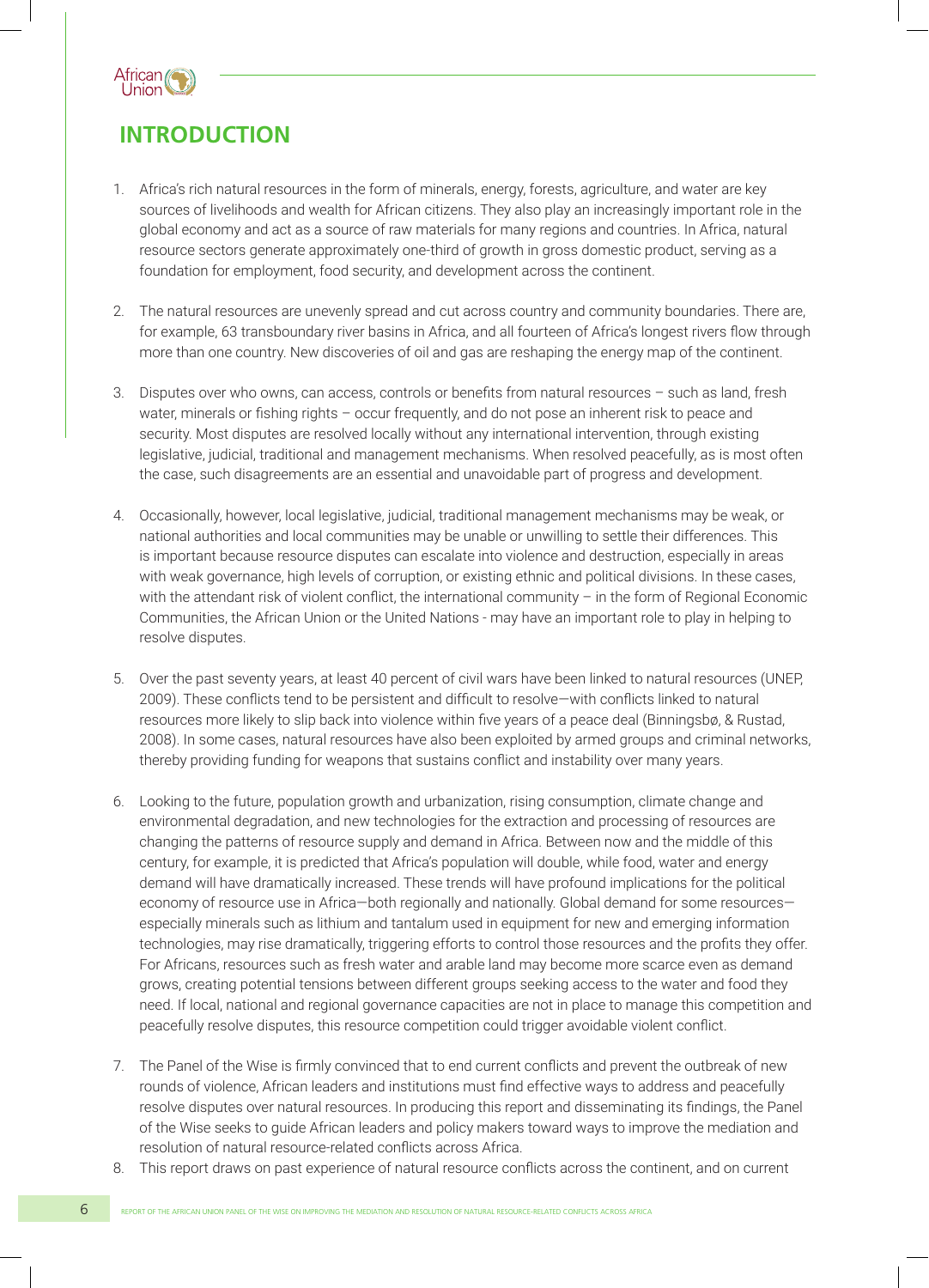

### **INTRODUCTION**

- 1. Africa's rich natural resources in the form of minerals, energy, forests, agriculture, and water are key sources of livelihoods and wealth for African citizens. They also play an increasingly important role in the global economy and act as a source of raw materials for many regions and countries. In Africa, natural resource sectors generate approximately one-third of growth in gross domestic product, serving as a foundation for employment, food security, and development across the continent.
- 2. The natural resources are unevenly spread and cut across country and community boundaries. There are, for example, 63 transboundary river basins in Africa, and all fourteen of Africa's longest rivers flow through more than one country. New discoveries of oil and gas are reshaping the energy map of the continent.
- 3. Disputes over who owns, can access, controls or benefits from natural resources such as land, fresh water, minerals or fishing rights - occur frequently, and do not pose an inherent risk to peace and security. Most disputes are resolved locally without any international intervention, through existing legislative, judicial, traditional and management mechanisms. When resolved peacefully, as is most often the case, such disagreements are an essential and unavoidable part of progress and development.
- 4. Occasionally, however, local legislative, judicial, traditional management mechanisms may be weak, or national authorities and local communities may be unable or unwilling to settle their differences. This is important because resource disputes can escalate into violence and destruction, especially in areas with weak governance, high levels of corruption, or existing ethnic and political divisions. In these cases, with the attendant risk of violent conflict, the international community – in the form of Regional Economic Communities, the African Union or the United Nations - may have an important role to play in helping to resolve disputes.
- 5. Over the past seventy years, at least 40 percent of civil wars have been linked to natural resources (UNEP, 2009). These conflicts tend to be persistent and difficult to resolve—with conflicts linked to natural resources more likely to slip back into violence within five years of a peace deal (Binningsbø, & Rustad, 2008). In some cases, natural resources have also been exploited by armed groups and criminal networks, thereby providing funding for weapons that sustains conflict and instability over many years.
- 6. Looking to the future, population growth and urbanization, rising consumption, climate change and environmental degradation, and new technologies for the extraction and processing of resources are changing the patterns of resource supply and demand in Africa. Between now and the middle of this century, for example, it is predicted that Africa's population will double, while food, water and energy demand will have dramatically increased. These trends will have profound implications for the political economy of resource use in Africa-both regionally and nationally. Global demand for some resourcesespecially minerals such as lithium and tantalum used in equipment for new and emerging information technologies, may rise dramatically, triggering efforts to control those resources and the profits they offer. For Africans, resources such as fresh water and arable land may become more scarce even as demand grows, creating potential tensions between different groups seeking access to the water and food they need. If local, national and regional governance capacities are not in place to manage this competition and peacefully resolve disputes, this resource competition could trigger avoidable violent conflict.
- 7. The Panel of the Wise is firmly convinced that to end current conflicts and prevent the outbreak of new rounds of violence, African leaders and institutions must find effective ways to address and peacefully resolve disputes over natural resources. In producing this report and disseminating its findings, the Panel of the Wise seeks to guide African leaders and policy makers toward ways to improve the mediation and resolution of natural resource-related conflicts across Africa.
- 8. This report draws on past experience of natural resource conflicts across the continent, and on current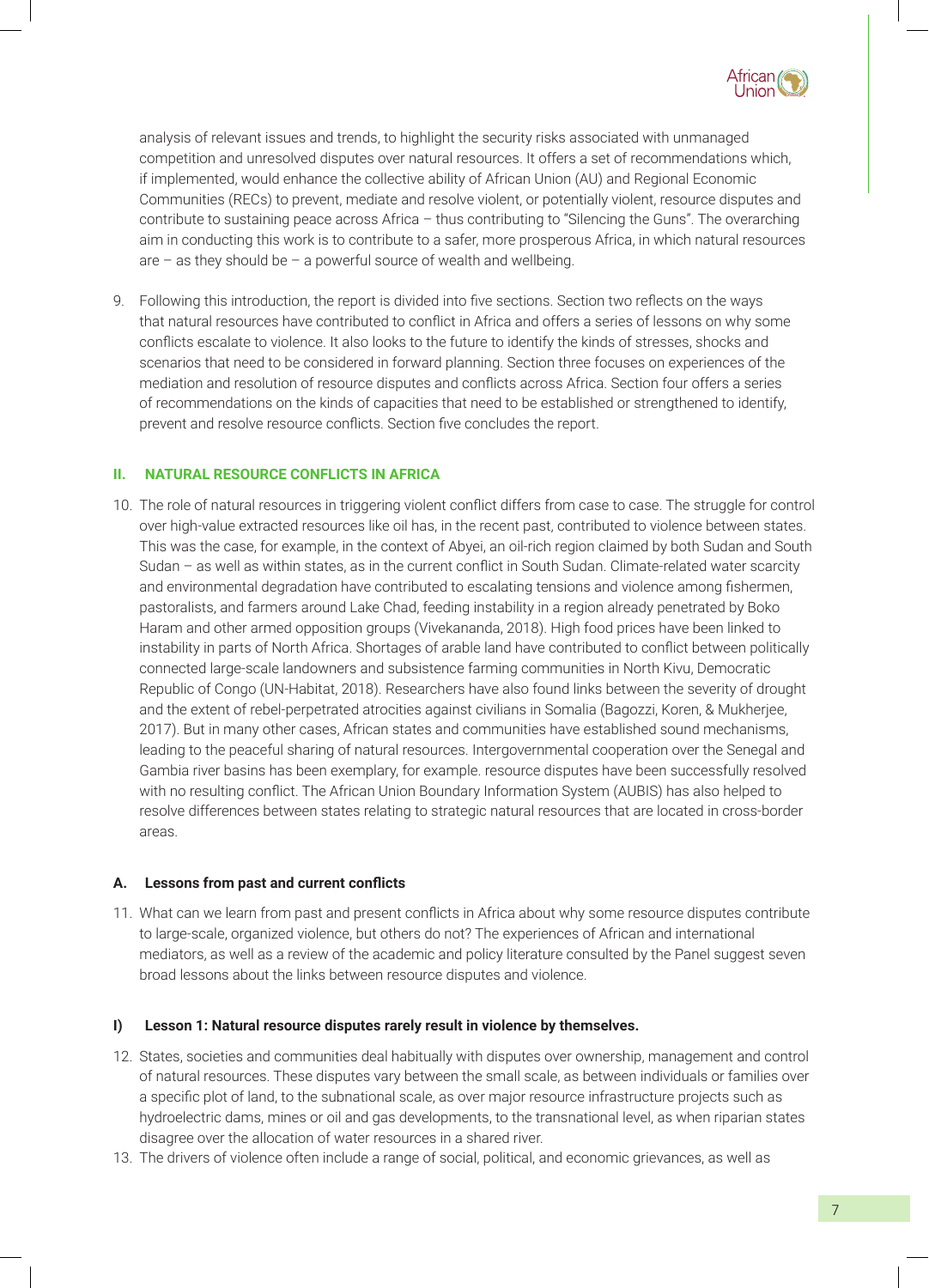

analysis of relevant issues and trends, to highlight the security risks associated with unmanaged competition and unresolved disputes over natural resources. It offers a set of recommendations which, if implemented, would enhance the collective ability of African Union (AU) and Regional Economic Communities (RECs) to prevent, mediate and resolve violent, or potentially violent, resource disputes and contribute to sustaining peace across Africa – thus contributing to "Silencing the Guns". The overarching aim in conducting this work is to contribute to a safer, more prosperous Africa, in which natural resources are – as they should be – a powerful source of wealth and wellbeing.

9. Following this introduction, the report is divided into five sections. Section two reflects on the ways that natural resources have contributed to conflict in Africa and offers a series of lessons on why some conflicts escalate to violence. It also looks to the future to identify the kinds of stresses, shocks and scenarios that need to be considered in forward planning. Section three focuses on experiences of the mediation and resolution of resource disputes and conflicts across Africa. Section four offers a series of recommendations on the kinds of capacities that need to be established or strengthened to identify, prevent and resolve resource conflicts. Section five concludes the report.

#### **II. NATURAL RESOURCE CONFLICTS IN AFRICA**

10. The role of natural resources in triggering violent conflict differs from case to case. The struggle for control over high-value extracted resources like oil has, in the recent past, contributed to violence between states. This was the case, for example, in the context of Abyei, an oil-rich region claimed by both Sudan and South Sudan – as well as within states, as in the current conflict in South Sudan. Climate-related water scarcity and environmental degradation have contributed to escalating tensions and violence among fishermen, pastoralists, and farmers around Lake Chad, feeding instability in a region already penetrated by Boko Haram and other armed opposition groups (Vivekananda, 2018). High food prices have been linked to instability in parts of North Africa. Shortages of arable land have contributed to conflict between politically connected large-scale landowners and subsistence farming communities in North Kivu, Democratic Republic of Congo (UN-Habitat, 2018). Researchers have also found links between the severity of drought and the extent of rebel-perpetrated atrocities against civilians in Somalia (Bagozzi, Koren, & Mukherjee, 2017). But in many other cases, African states and communities have established sound mechanisms, leading to the peaceful sharing of natural resources. Intergovernmental cooperation over the Senegal and Gambia river basins has been exemplary, for example. resource disputes have been successfully resolved with no resulting conflict. The African Union Boundary Information System (AUBIS) has also helped to resolve differences between states relating to strategic natural resources that are located in cross-border areas.

#### **A. Lessons from past and current conflicts**

11. What can we learn from past and present conflicts in Africa about why some resource disputes contribute to large-scale, organized violence, but others do not? The experiences of African and international mediators, as well as a review of the academic and policy literature consulted by the Panel suggest seven broad lessons about the links between resource disputes and violence.

#### **I) Lesson 1: Natural resource disputes rarely result in violence by themselves.**

- 12. States, societies and communities deal habitually with disputes over ownership, management and control of natural resources. These disputes vary between the small scale, as between individuals or families over a specific plot of land, to the subnational scale, as over major resource infrastructure projects such as hydroelectric dams, mines or oil and gas developments, to the transnational level, as when riparian states disagree over the allocation of water resources in a shared river.
- 13. The drivers of violence often include a range of social, political, and economic grievances, as well as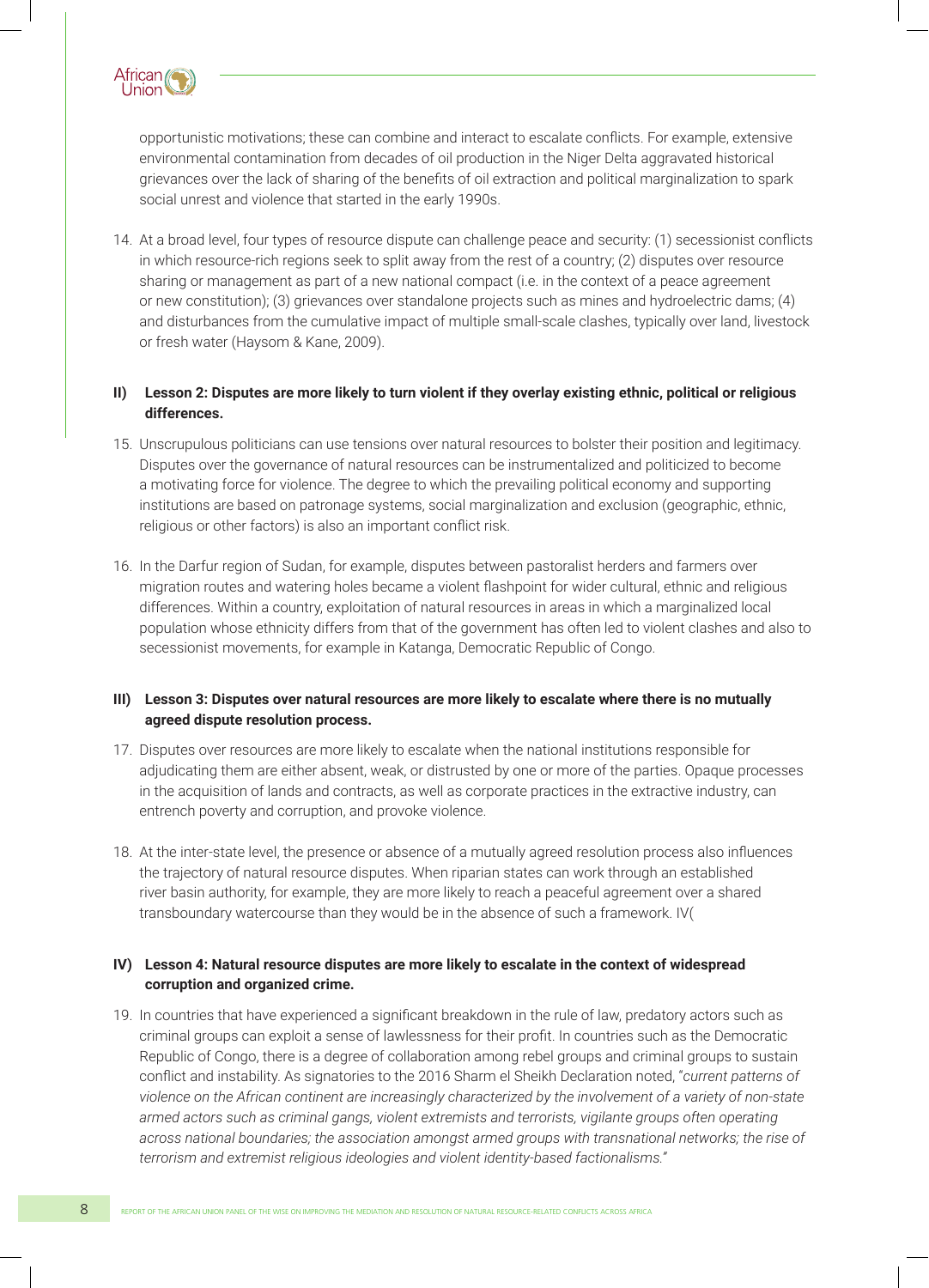

opportunistic motivations; these can combine and interact to escalate conflicts. For example, extensive environmental contamination from decades of oil production in the Niger Delta aggravated historical grievances over the lack of sharing of the benefits of oil extraction and political marginalization to spark social unrest and violence that started in the early 1990s.

14. At a broad level, four types of resource dispute can challenge peace and security: (1) secessionist conflicts in which resource-rich regions seek to split away from the rest of a country; (2) disputes over resource sharing or management as part of a new national compact (i.e. in the context of a peace agreement or new constitution); (3) grievances over standalone projects such as mines and hydroelectric dams; (4) and disturbances from the cumulative impact of multiple small-scale clashes, typically over land, livestock or fresh water (Haysom & Kane, 2009).

#### **II) Lesson 2: Disputes are more likely to turn violent if they overlay existing ethnic, political or religious differences.**

- 15. Unscrupulous politicians can use tensions over natural resources to bolster their position and legitimacy. Disputes over the governance of natural resources can be instrumentalized and politicized to become a motivating force for violence. The degree to which the prevailing political economy and supporting institutions are based on patronage systems, social marginalization and exclusion (geographic, ethnic, religious or other factors) is also an important conflict risk.
- 16. In the Darfur region of Sudan, for example, disputes between pastoralist herders and farmers over migration routes and watering holes became a violent flashpoint for wider cultural, ethnic and religious differences. Within a country, exploitation of natural resources in areas in which a marginalized local population whose ethnicity differs from that of the government has often led to violent clashes and also to secessionist movements, for example in Katanga, Democratic Republic of Congo.

#### **III) Lesson 3: Disputes over natural resources are more likely to escalate where there is no mutually agreed dispute resolution process.**

- 17. Disputes over resources are more likely to escalate when the national institutions responsible for adjudicating them are either absent, weak, or distrusted by one or more of the parties. Opaque processes in the acquisition of lands and contracts, as well as corporate practices in the extractive industry, can entrench poverty and corruption, and provoke violence.
- 18. At the inter-state level, the presence or absence of a mutually agreed resolution process also influences the trajectory of natural resource disputes. When riparian states can work through an established river basin authority, for example, they are more likely to reach a peaceful agreement over a shared transboundary watercourse than they would be in the absence of such a framework. IV(

#### **IV) Lesson 4: Natural resource disputes are more likely to escalate in the context of widespread corruption and organized crime.**

19. In countries that have experienced a significant breakdown in the rule of law, predatory actors such as criminal groups can exploit a sense of lawlessness for their profit. In countries such as the Democratic Republic of Congo, there is a degree of collaboration among rebel groups and criminal groups to sustain conflict and instability. As signatories to the 2016 Sharm el Sheikh Declaration noted, "*current patterns of violence on the African continent are increasingly characterized by the involvement of a variety of non-state armed actors such as criminal gangs, violent extremists and terrorists, vigilante groups often operating across national boundaries; the association amongst armed groups with transnational networks; the rise of terrorism and extremist religious ideologies and violent identity-based factionalisms."*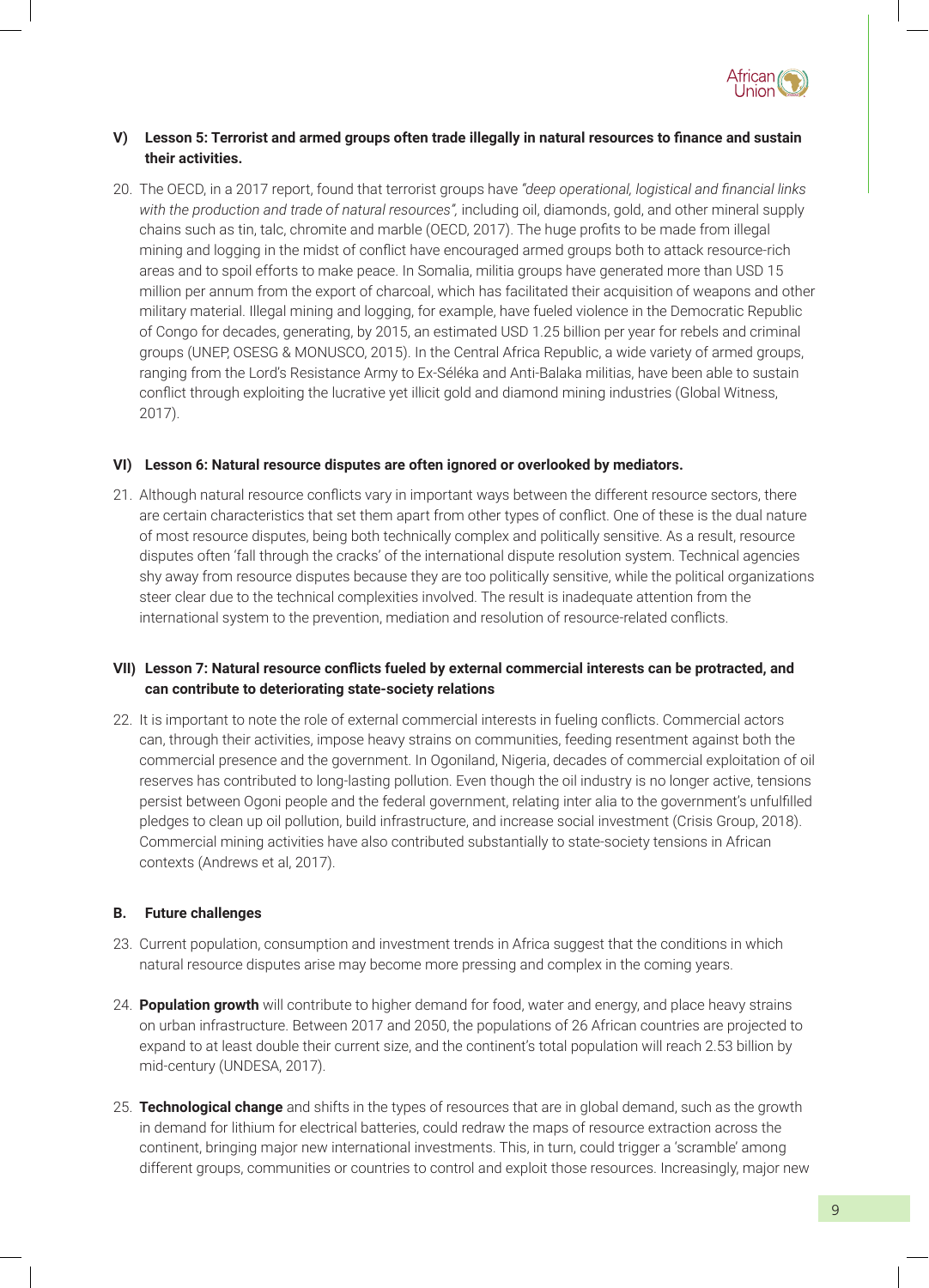

#### **V) Lesson 5: Terrorist and armed groups often trade illegally in natural resources to finance and sustain their activities.**

20. The OECD, in a 2017 report, found that terrorist groups have *"deep operational, logistical and financial links with the production and trade of natural resources",* including oil, diamonds, gold, and other mineral supply chains such as tin, talc, chromite and marble (OECD, 2017). The huge profits to be made from illegal mining and logging in the midst of conflict have encouraged armed groups both to attack resource-rich areas and to spoil efforts to make peace. In Somalia, militia groups have generated more than USD 15 million per annum from the export of charcoal, which has facilitated their acquisition of weapons and other military material. Illegal mining and logging, for example, have fueled violence in the Democratic Republic of Congo for decades, generating, by 2015, an estimated USD 1.25 billion per year for rebels and criminal groups (UNEP, OSESG & MONUSCO, 2015). In the Central Africa Republic, a wide variety of armed groups, ranging from the Lord's Resistance Army to Ex-Séléka and Anti-Balaka militias, have been able to sustain conflict through exploiting the lucrative yet illicit gold and diamond mining industries (Global Witness, 2017).

#### **VI) Lesson 6: Natural resource disputes are often ignored or overlooked by mediators.**

21. Although natural resource conflicts vary in important ways between the different resource sectors, there are certain characteristics that set them apart from other types of conflict. One of these is the dual nature of most resource disputes, being both technically complex and politically sensitive. As a result, resource disputes often 'fall through the cracks' of the international dispute resolution system. Technical agencies shy away from resource disputes because they are too politically sensitive, while the political organizations steer clear due to the technical complexities involved. The result is inadequate attention from the international system to the prevention, mediation and resolution of resource-related conflicts.

#### **VII) Lesson 7: Natural resource conflicts fueled by external commercial interests can be protracted, and can contribute to deteriorating state-society relations**

22. It is important to note the role of external commercial interests in fueling conflicts. Commercial actors can, through their activities, impose heavy strains on communities, feeding resentment against both the commercial presence and the government. In Ogoniland, Nigeria, decades of commercial exploitation of oil reserves has contributed to long-lasting pollution. Even though the oil industry is no longer active, tensions persist between Ogoni people and the federal government, relating inter alia to the government's unfulfilled pledges to clean up oil pollution, build infrastructure, and increase social investment (Crisis Group, 2018). Commercial mining activities have also contributed substantially to state-society tensions in African contexts (Andrews et al, 2017).

#### **B. Future challenges**

- 23. Current population, consumption and investment trends in Africa suggest that the conditions in which natural resource disputes arise may become more pressing and complex in the coming years.
- 24. **Population growth** will contribute to higher demand for food, water and energy, and place heavy strains on urban infrastructure. Between 2017 and 2050, the populations of 26 African countries are projected to expand to at least double their current size, and the continent's total population will reach 2.53 billion by mid-century (UNDESA, 2017).
- 25. **Technological change** and shifts in the types of resources that are in global demand, such as the growth in demand for lithium for electrical batteries, could redraw the maps of resource extraction across the continent, bringing major new international investments. This, in turn, could trigger a 'scramble' among different groups, communities or countries to control and exploit those resources. Increasingly, major new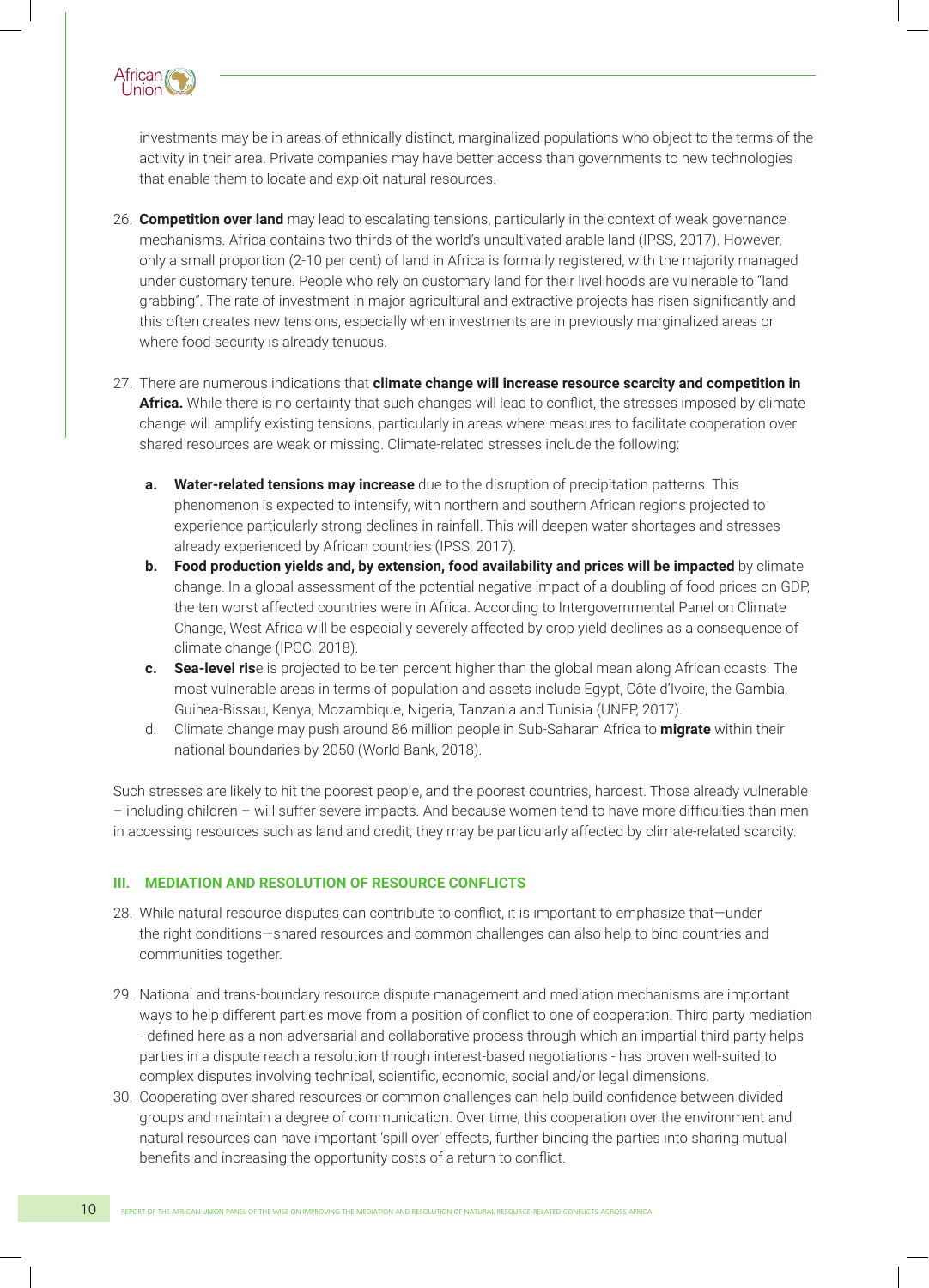

investments may be in areas of ethnically distinct, marginalized populations who object to the terms of the activity in their area. Private companies may have better access than governments to new technologies that enable them to locate and exploit natural resources.

- 26. **Competition over land** may lead to escalating tensions, particularly in the context of weak governance mechanisms. Africa contains two thirds of the world's uncultivated arable land (IPSS, 2017). However, only a small proportion (2-10 per cent) of land in Africa is formally registered, with the majority managed under customary tenure. People who rely on customary land for their livelihoods are vulnerable to "land grabbing". The rate of investment in major agricultural and extractive projects has risen significantly and this often creates new tensions, especially when investments are in previously marginalized areas or where food security is already tenuous.
- 27. There are numerous indications that **climate change will increase resource scarcity and competition in**  Africa. While there is no certainty that such changes will lead to conflict, the stresses imposed by climate change will amplify existing tensions, particularly in areas where measures to facilitate cooperation over shared resources are weak or missing. Climate-related stresses include the following:
	- **a. Water-related tensions may increase** due to the disruption of precipitation patterns. This phenomenon is expected to intensify, with northern and southern African regions projected to experience particularly strong declines in rainfall. This will deepen water shortages and stresses already experienced by African countries (IPSS, 2017).
	- **b. Food production yields and, by extension, food availability and prices will be impacted** by climate change. In a global assessment of the potential negative impact of a doubling of food prices on GDP, the ten worst affected countries were in Africa. According to Intergovernmental Panel on Climate Change, West Africa will be especially severely affected by crop yield declines as a consequence of climate change (IPCC, 2018).
	- **c. Sea-level ris**e is projected to be ten percent higher than the global mean along African coasts. The most vulnerable areas in terms of population and assets include Egypt, Côte d'Ivoire, the Gambia, Guinea-Bissau, Kenya, Mozambique, Nigeria, Tanzania and Tunisia (UNEP, 2017).
	- d. Climate change may push around 86 million people in Sub-Saharan Africa to **migrate** within their national boundaries by 2050 (World Bank, 2018).

Such stresses are likely to hit the poorest people, and the poorest countries, hardest. Those already vulnerable – including children – will suffer severe impacts. And because women tend to have more difficulties than men in accessing resources such as land and credit, they may be particularly affected by climate-related scarcity.

#### **III. MEDIATION AND RESOLUTION OF RESOURCE CONFLICTS**

- 28. While natural resource disputes can contribute to conflict, it is important to emphasize that—under the right conditions—shared resources and common challenges can also help to bind countries and communities together.
- 29. National and trans-boundary resource dispute management and mediation mechanisms are important ways to help different parties move from a position of conflict to one of cooperation. Third party mediation - defined here as a non-adversarial and collaborative process through which an impartial third party helps parties in a dispute reach a resolution through interest-based negotiations - has proven well-suited to complex disputes involving technical, scientific, economic, social and/or legal dimensions.
- 30. Cooperating over shared resources or common challenges can help build confidence between divided groups and maintain a degree of communication. Over time, this cooperation over the environment and natural resources can have important 'spill over' effects, further binding the parties into sharing mutual benefits and increasing the opportunity costs of a return to conflict.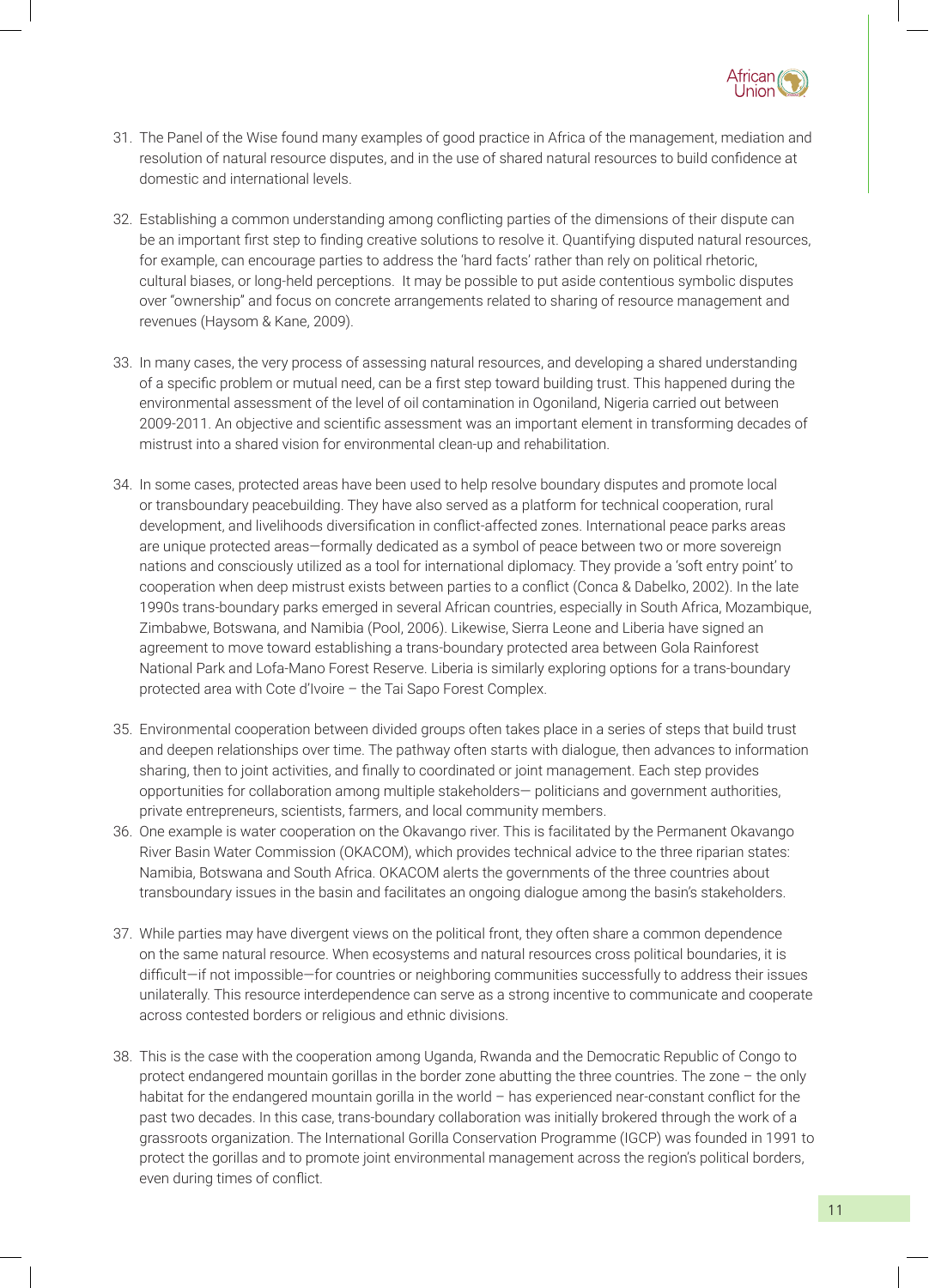

- 31. The Panel of the Wise found many examples of good practice in Africa of the management, mediation and resolution of natural resource disputes, and in the use of shared natural resources to build confidence at domestic and international levels.
- 32. Establishing a common understanding among conflicting parties of the dimensions of their dispute can be an important first step to finding creative solutions to resolve it. Quantifying disputed natural resources, for example, can encourage parties to address the 'hard facts' rather than rely on political rhetoric, cultural biases, or long-held perceptions. It may be possible to put aside contentious symbolic disputes over "ownership" and focus on concrete arrangements related to sharing of resource management and revenues (Haysom & Kane, 2009).
- 33. In many cases, the very process of assessing natural resources, and developing a shared understanding of a specific problem or mutual need, can be a first step toward building trust. This happened during the environmental assessment of the level of oil contamination in Ogoniland, Nigeria carried out between 2009-2011. An objective and scientific assessment was an important element in transforming decades of mistrust into a shared vision for environmental clean-up and rehabilitation.
- 34. In some cases, protected areas have been used to help resolve boundary disputes and promote local or transboundary peacebuilding. They have also served as a platform for technical cooperation, rural development, and livelihoods diversification in conflict-affected zones. International peace parks areas are unique protected areas—formally dedicated as a symbol of peace between two or more sovereign nations and consciously utilized as a tool for international diplomacy. They provide a 'soft entry point' to cooperation when deep mistrust exists between parties to a conflict (Conca & Dabelko, 2002). In the late 1990s trans-boundary parks emerged in several African countries, especially in South Africa, Mozambique, Zimbabwe, Botswana, and Namibia (Pool, 2006). Likewise, Sierra Leone and Liberia have signed an agreement to move toward establishing a trans-boundary protected area between Gola Rainforest National Park and Lofa-Mano Forest Reserve. Liberia is similarly exploring options for a trans-boundary protected area with Cote d'Ivoire – the Tai Sapo Forest Complex.
- 35. Environmental cooperation between divided groups often takes place in a series of steps that build trust and deepen relationships over time. The pathway often starts with dialogue, then advances to information sharing, then to joint activities, and finally to coordinated or joint management. Each step provides opportunities for collaboration among multiple stakeholders— politicians and government authorities, private entrepreneurs, scientists, farmers, and local community members.
- 36. One example is water cooperation on the Okavango river. This is facilitated by the Permanent Okavango River Basin Water Commission (OKACOM), which provides technical advice to the three riparian states: Namibia, Botswana and South Africa. OKACOM alerts the governments of the three countries about transboundary issues in the basin and facilitates an ongoing dialogue among the basin's stakeholders.
- 37. While parties may have divergent views on the political front, they often share a common dependence on the same natural resource. When ecosystems and natural resources cross political boundaries, it is difficult—if not impossible—for countries or neighboring communities successfully to address their issues unilaterally. This resource interdependence can serve as a strong incentive to communicate and cooperate across contested borders or religious and ethnic divisions.
- 38. This is the case with the cooperation among Uganda, Rwanda and the Democratic Republic of Congo to protect endangered mountain gorillas in the border zone abutting the three countries. The zone – the only habitat for the endangered mountain gorilla in the world – has experienced near-constant conflict for the past two decades. In this case, trans-boundary collaboration was initially brokered through the work of a grassroots organization. The International Gorilla Conservation Programme (IGCP) was founded in 1991 to protect the gorillas and to promote joint environmental management across the region's political borders, even during times of conflict.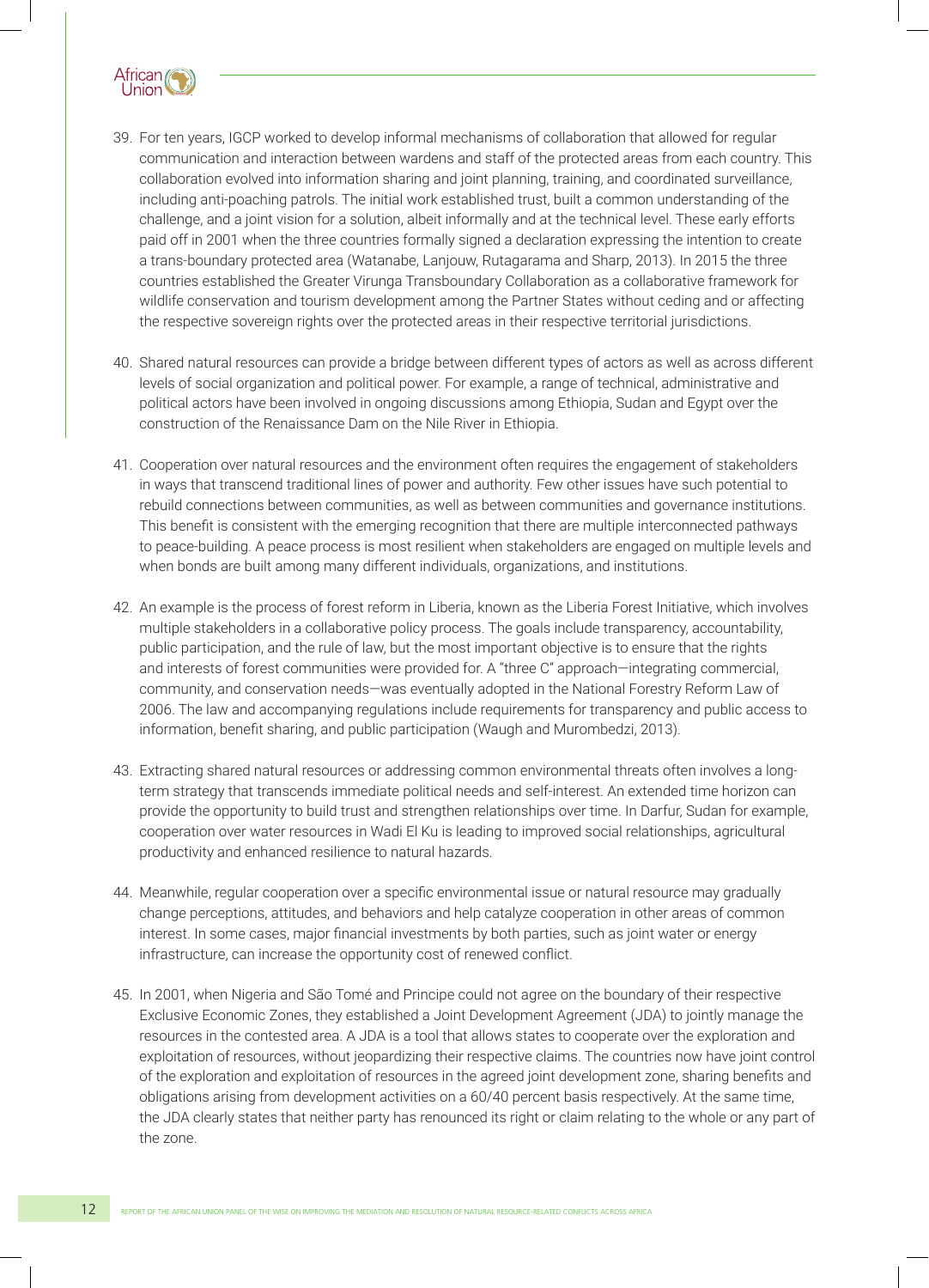

- 39. For ten years, IGCP worked to develop informal mechanisms of collaboration that allowed for regular communication and interaction between wardens and staff of the protected areas from each country. This collaboration evolved into information sharing and joint planning, training, and coordinated surveillance, including anti-poaching patrols. The initial work established trust, built a common understanding of the challenge, and a joint vision for a solution, albeit informally and at the technical level. These early efforts paid off in 2001 when the three countries formally signed a declaration expressing the intention to create a trans-boundary protected area (Watanabe, Lanjouw, Rutagarama and Sharp, 2013). In 2015 the three countries established the Greater Virunga Transboundary Collaboration as a collaborative framework for wildlife conservation and tourism development among the Partner States without ceding and or affecting the respective sovereign rights over the protected areas in their respective territorial jurisdictions.
- 40. Shared natural resources can provide a bridge between different types of actors as well as across different levels of social organization and political power. For example, a range of technical, administrative and political actors have been involved in ongoing discussions among Ethiopia, Sudan and Egypt over the construction of the Renaissance Dam on the Nile River in Ethiopia.
- 41. Cooperation over natural resources and the environment often requires the engagement of stakeholders in ways that transcend traditional lines of power and authority. Few other issues have such potential to rebuild connections between communities, as well as between communities and governance institutions. This benefit is consistent with the emerging recognition that there are multiple interconnected pathways to peace-building. A peace process is most resilient when stakeholders are engaged on multiple levels and when bonds are built among many different individuals, organizations, and institutions.
- 42. An example is the process of forest reform in Liberia, known as the Liberia Forest Initiative, which involves multiple stakeholders in a collaborative policy process. The goals include transparency, accountability, public participation, and the rule of law, but the most important objective is to ensure that the rights and interests of forest communities were provided for. A "three C" approach—integrating commercial, community, and conservation needs—was eventually adopted in the National Forestry Reform Law of 2006. The law and accompanying regulations include requirements for transparency and public access to information, benefit sharing, and public participation (Waugh and Murombedzi, 2013).
- 43. Extracting shared natural resources or addressing common environmental threats often involves a longterm strategy that transcends immediate political needs and self-interest. An extended time horizon can provide the opportunity to build trust and strengthen relationships over time. In Darfur, Sudan for example, cooperation over water resources in Wadi El Ku is leading to improved social relationships, agricultural productivity and enhanced resilience to natural hazards.
- 44. Meanwhile, regular cooperation over a specific environmental issue or natural resource may gradually change perceptions, attitudes, and behaviors and help catalyze cooperation in other areas of common interest. In some cases, major financial investments by both parties, such as joint water or energy infrastructure, can increase the opportunity cost of renewed conflict.
- 45. In 2001, when Nigeria and São Tomé and Principe could not agree on the boundary of their respective Exclusive Economic Zones, they established a Joint Development Agreement (JDA) to jointly manage the resources in the contested area. A JDA is a tool that allows states to cooperate over the exploration and exploitation of resources, without jeopardizing their respective claims. The countries now have joint control of the exploration and exploitation of resources in the agreed joint development zone, sharing benefits and obligations arising from development activities on a 60/40 percent basis respectively. At the same time, the JDA clearly states that neither party has renounced its right or claim relating to the whole or any part of the zone.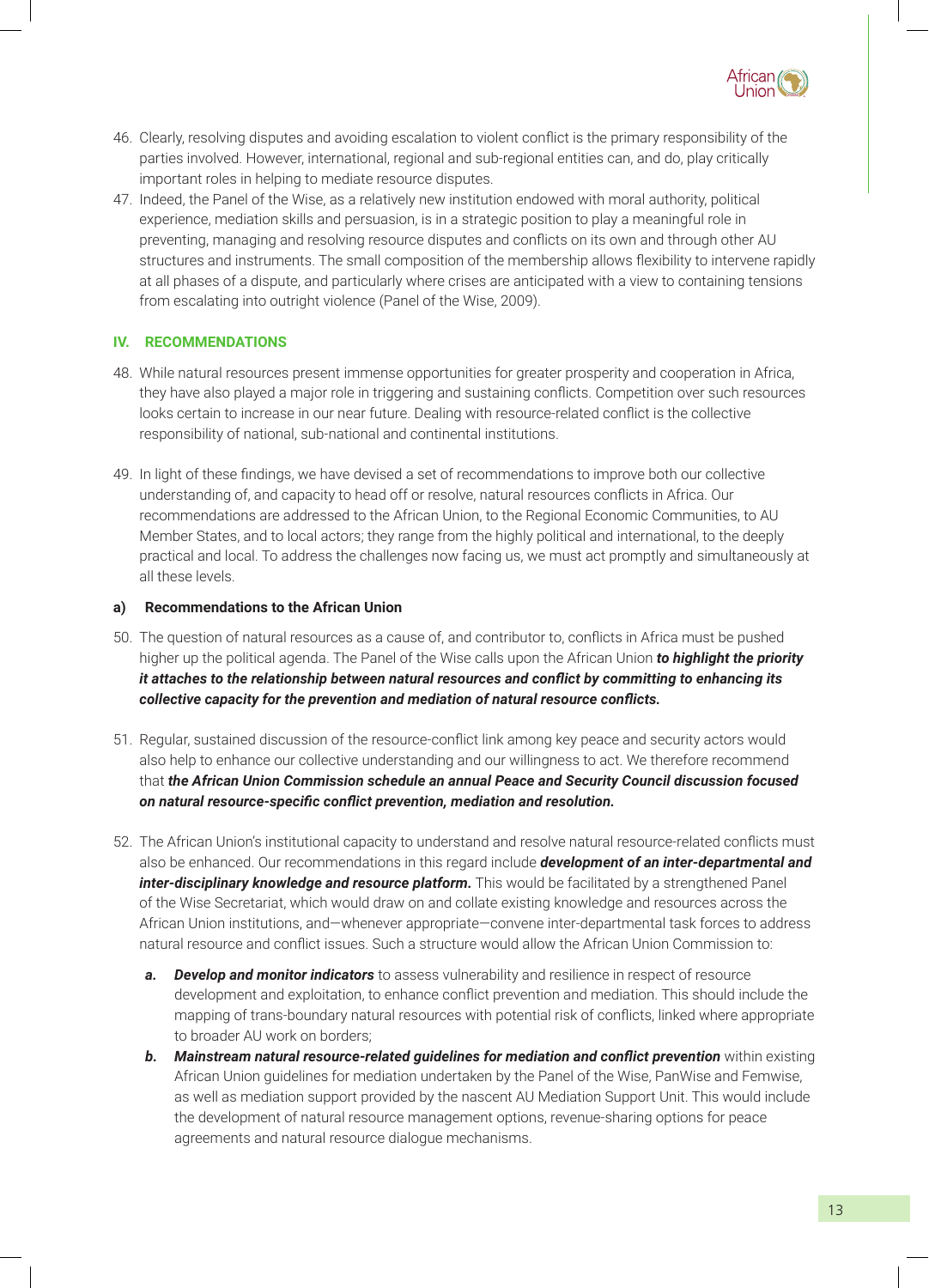

- 46. Clearly, resolving disputes and avoiding escalation to violent conflict is the primary responsibility of the parties involved. However, international, regional and sub-regional entities can, and do, play critically important roles in helping to mediate resource disputes.
- 47. Indeed, the Panel of the Wise, as a relatively new institution endowed with moral authority, political experience, mediation skills and persuasion, is in a strategic position to play a meaningful role in preventing, managing and resolving resource disputes and conflicts on its own and through other AU structures and instruments. The small composition of the membership allows flexibility to intervene rapidly at all phases of a dispute, and particularly where crises are anticipated with a view to containing tensions from escalating into outright violence (Panel of the Wise, 2009).

#### **IV. RECOMMENDATIONS**

- 48. While natural resources present immense opportunities for greater prosperity and cooperation in Africa, they have also played a major role in triggering and sustaining conflicts. Competition over such resources looks certain to increase in our near future. Dealing with resource-related conflict is the collective responsibility of national, sub-national and continental institutions.
- 49. In light of these findings, we have devised a set of recommendations to improve both our collective understanding of, and capacity to head off or resolve, natural resources conflicts in Africa. Our recommendations are addressed to the African Union, to the Regional Economic Communities, to AU Member States, and to local actors; they range from the highly political and international, to the deeply practical and local. To address the challenges now facing us, we must act promptly and simultaneously at all these levels.

#### **a) Recommendations to the African Union**

- 50. The question of natural resources as a cause of, and contributor to, conflicts in Africa must be pushed higher up the political agenda. The Panel of the Wise calls upon the African Union *to highlight the priority it attaches to the relationship between natural resources and conflict by committing to enhancing its collective capacity for the prevention and mediation of natural resource conflicts.*
- 51. Regular, sustained discussion of the resource-conflict link among key peace and security actors would also help to enhance our collective understanding and our willingness to act. We therefore recommend that *the African Union Commission schedule an annual Peace and Security Council discussion focused on natural resource-specific conflict prevention, mediation and resolution.*
- 52. The African Union's institutional capacity to understand and resolve natural resource-related conflicts must also be enhanced. Our recommendations in this regard include *development of an inter-departmental and inter-disciplinary knowledge and resource platform.* This would be facilitated by a strengthened Panel of the Wise Secretariat, which would draw on and collate existing knowledge and resources across the African Union institutions, and—whenever appropriate—convene inter-departmental task forces to address natural resource and conflict issues. Such a structure would allow the African Union Commission to:
	- *a. Develop and monitor indicators* to assess vulnerability and resilience in respect of resource development and exploitation, to enhance conflict prevention and mediation. This should include the mapping of trans-boundary natural resources with potential risk of conflicts, linked where appropriate to broader AU work on borders;
	- **b.** Mainstream natural resource-related guidelines for mediation and conflict prevention within existing African Union guidelines for mediation undertaken by the Panel of the Wise, PanWise and Femwise, as well as mediation support provided by the nascent AU Mediation Support Unit. This would include the development of natural resource management options, revenue-sharing options for peace agreements and natural resource dialogue mechanisms.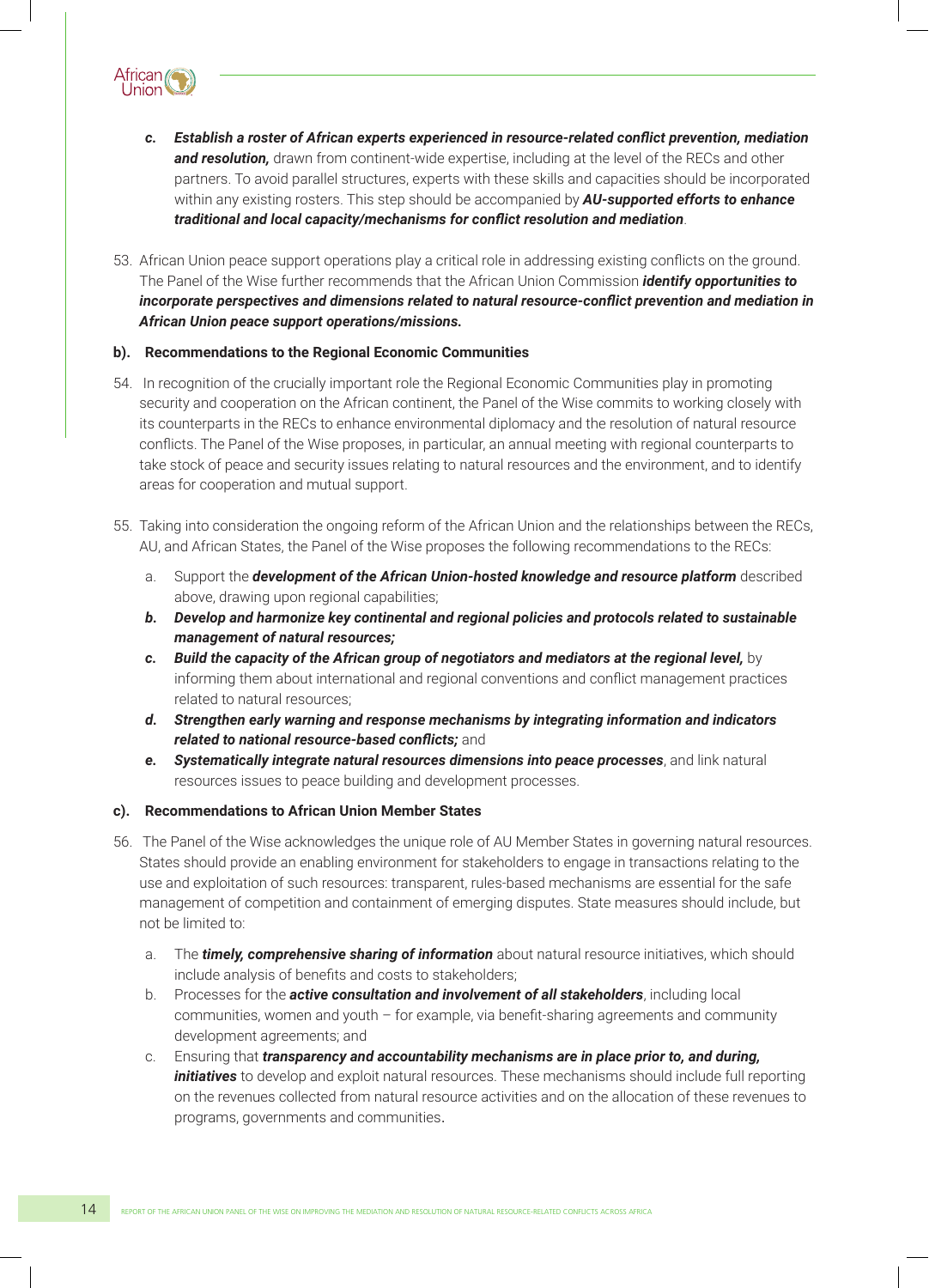

- *c. Establish a roster of African experts experienced in resource-related conflict prevention, mediation*  **and resolution,** drawn from continent-wide expertise, including at the level of the RECs and other partners. To avoid parallel structures, experts with these skills and capacities should be incorporated within any existing rosters. This step should be accompanied by *AU-supported efforts to enhance traditional and local capacity/mechanisms for conflict resolution and mediation*.
- 53. African Union peace support operations play a critical role in addressing existing conflicts on the ground. The Panel of the Wise further recommends that the African Union Commission *identify opportunities to incorporate perspectives and dimensions related to natural resource-conflict prevention and mediation in African Union peace support operations/missions.*

#### **b). Recommendations to the Regional Economic Communities**

- 54. In recognition of the crucially important role the Regional Economic Communities play in promoting security and cooperation on the African continent, the Panel of the Wise commits to working closely with its counterparts in the RECs to enhance environmental diplomacy and the resolution of natural resource conflicts. The Panel of the Wise proposes, in particular, an annual meeting with regional counterparts to take stock of peace and security issues relating to natural resources and the environment, and to identify areas for cooperation and mutual support.
- 55. Taking into consideration the ongoing reform of the African Union and the relationships between the RECs, AU, and African States, the Panel of the Wise proposes the following recommendations to the RECs:
	- a. Support the *development of the African Union-hosted knowledge and resource platform* described above, drawing upon regional capabilities;
	- *b. Develop and harmonize key continental and regional policies and protocols related to sustainable management of natural resources;*
	- *c. Build the capacity of the African group of negotiators and mediators at the regional level,* by informing them about international and regional conventions and conflict management practices related to natural resources;
	- *d. Strengthen early warning and response mechanisms by integrating information and indicators related to national resource-based conflicts;* and
	- *e. Systematically integrate natural resources dimensions into peace processes*, and link natural resources issues to peace building and development processes.

#### **c). Recommendations to African Union Member States**

- 56. The Panel of the Wise acknowledges the unique role of AU Member States in governing natural resources. States should provide an enabling environment for stakeholders to engage in transactions relating to the use and exploitation of such resources: transparent, rules-based mechanisms are essential for the safe management of competition and containment of emerging disputes. State measures should include, but not be limited to:
	- a. The *timely, comprehensive sharing of information* about natural resource initiatives, which should include analysis of benefits and costs to stakeholders;
	- b. Processes for the *active consultation and involvement of all stakeholders*, including local communities, women and youth – for example, via benefit-sharing agreements and community development agreements; and
	- c. Ensuring that *transparency and accountability mechanisms are in place prior to, and during, initiatives* to develop and exploit natural resources. These mechanisms should include full reporting on the revenues collected from natural resource activities and on the allocation of these revenues to programs, governments and communities.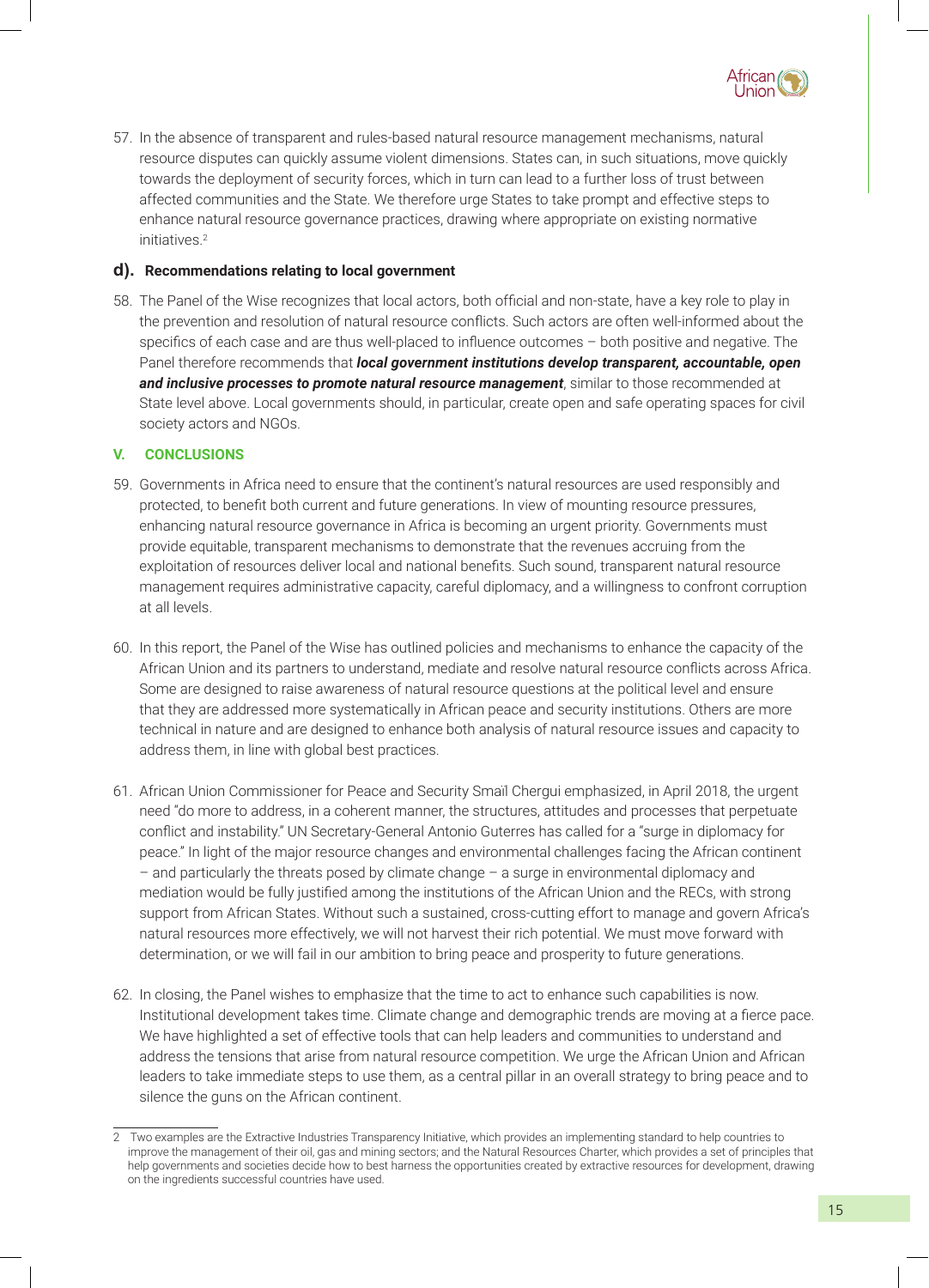

57. In the absence of transparent and rules-based natural resource management mechanisms, natural resource disputes can quickly assume violent dimensions. States can, in such situations, move quickly towards the deployment of security forces, which in turn can lead to a further loss of trust between affected communities and the State. We therefore urge States to take prompt and effective steps to enhance natural resource governance practices, drawing where appropriate on existing normative initiatives.<sup>2</sup>

#### **d). Recommendations relating to local government**

58. The Panel of the Wise recognizes that local actors, both official and non-state, have a key role to play in the prevention and resolution of natural resource conflicts. Such actors are often well-informed about the specifics of each case and are thus well-placed to influence outcomes – both positive and negative. The Panel therefore recommends that *local government institutions develop transparent, accountable, open*  and *inclusive processes to promote natural resource management*, similar to those recommended at State level above. Local governments should, in particular, create open and safe operating spaces for civil society actors and NGOs.

#### **V. CONCLUSIONS**

- 59. Governments in Africa need to ensure that the continent's natural resources are used responsibly and protected, to benefit both current and future generations. In view of mounting resource pressures, enhancing natural resource governance in Africa is becoming an urgent priority. Governments must provide equitable, transparent mechanisms to demonstrate that the revenues accruing from the exploitation of resources deliver local and national benefits. Such sound, transparent natural resource management requires administrative capacity, careful diplomacy, and a willingness to confront corruption at all levels.
- 60. In this report, the Panel of the Wise has outlined policies and mechanisms to enhance the capacity of the African Union and its partners to understand, mediate and resolve natural resource conflicts across Africa. Some are designed to raise awareness of natural resource questions at the political level and ensure that they are addressed more systematically in African peace and security institutions. Others are more technical in nature and are designed to enhance both analysis of natural resource issues and capacity to address them, in line with global best practices.
- 61. African Union Commissioner for Peace and Security Smaїl Chergui emphasized, in April 2018, the urgent need "do more to address, in a coherent manner, the structures, attitudes and processes that perpetuate conflict and instability." UN Secretary-General Antonio Guterres has called for a "surge in diplomacy for peace." In light of the major resource changes and environmental challenges facing the African continent – and particularly the threats posed by climate change – a surge in environmental diplomacy and mediation would be fully justified among the institutions of the African Union and the RECs, with strong support from African States. Without such a sustained, cross-cutting effort to manage and govern Africa's natural resources more effectively, we will not harvest their rich potential. We must move forward with determination, or we will fail in our ambition to bring peace and prosperity to future generations.
- 62. In closing, the Panel wishes to emphasize that the time to act to enhance such capabilities is now. Institutional development takes time. Climate change and demographic trends are moving at a fierce pace. We have highlighted a set of effective tools that can help leaders and communities to understand and address the tensions that arise from natural resource competition. We urge the African Union and African leaders to take immediate steps to use them, as a central pillar in an overall strategy to bring peace and to silence the guns on the African continent.

<sup>2</sup> Two examples are the Extractive Industries Transparency Initiative, which provides an implementing standard to help countries to improve the management of their oil, gas and mining sectors; and the Natural Resources Charter, which provides a set of principles that help governments and societies decide how to best harness the opportunities created by extractive resources for development, drawing on the ingredients successful countries have used.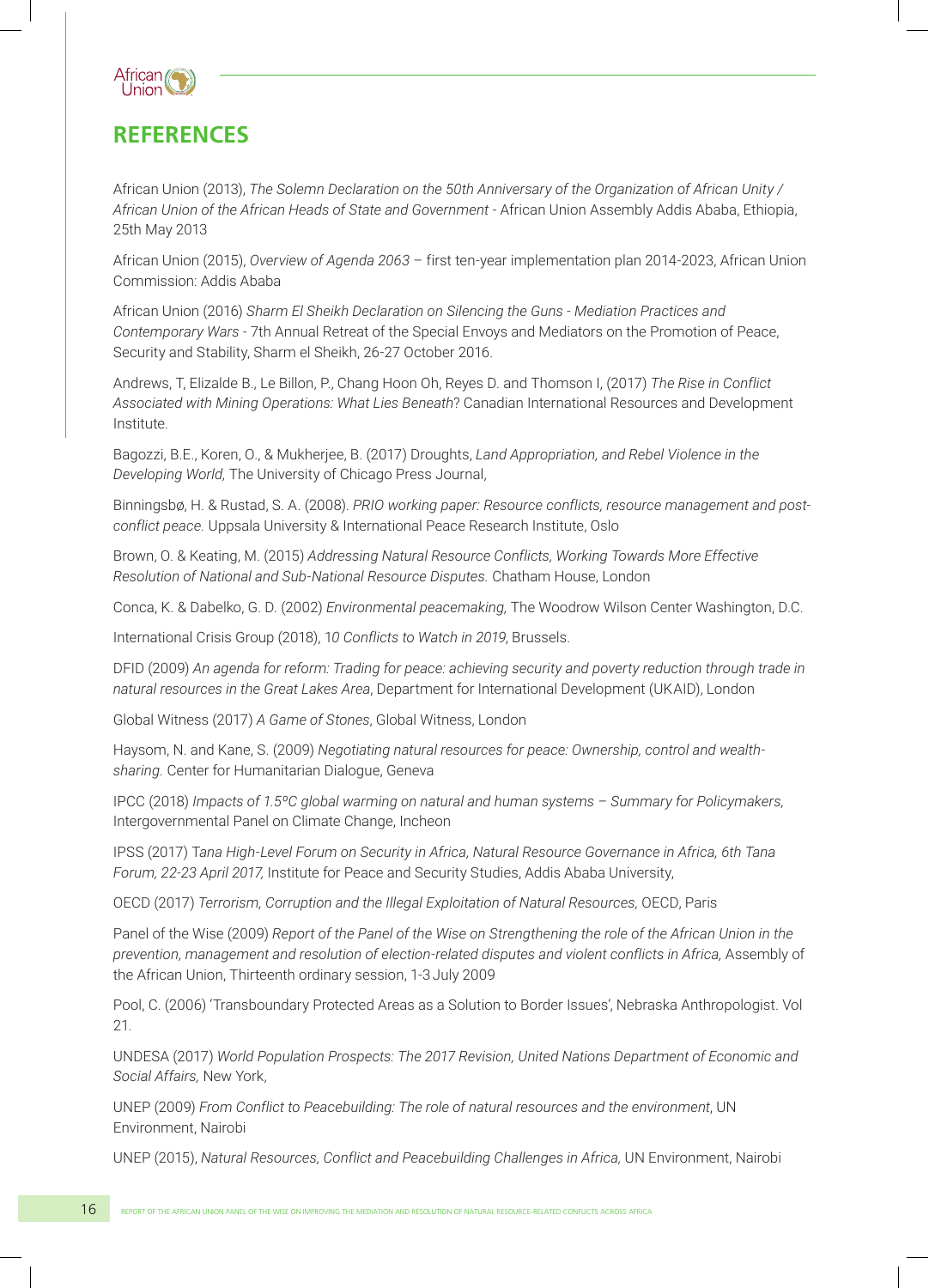

### **REFERENCES**

African Union (2013), *The Solemn Declaration on the 50th Anniversary of the Organization of African Unity / African Union of the African Heads of State and Government* - African Union Assembly Addis Ababa, Ethiopia, 25th May 2013

African Union (2015), *Overview of Agenda 2063* – first ten-year implementation plan 2014-2023, African Union Commission: Addis Ababa

African Union (2016) *Sharm El Sheikh Declaration on Silencing the Guns - Mediation Practices and Contemporary Wars -* 7th Annual Retreat of the Special Envoys and Mediators on the Promotion of Peace, Security and Stability, Sharm el Sheikh, 26-27 October 2016.

Andrews, T, Elizalde B., Le Billon, P., Chang Hoon Oh, Reyes D. and Thomson I, (2017) *The Rise in Conflict Associated with Mining Operations: What Lies Beneath*? Canadian International Resources and Development Institute.

Bagozzi, B.E., Koren, O., & Mukherjee, B. (2017) Droughts, *Land Appropriation, and Rebel Violence in the Developing World,* The University of Chicago Press Journal,

Binningsbø, H. & Rustad, S. A. (2008). *PRIO working paper: Resource conflicts, resource management and postconflict peace.* Uppsala University & International Peace Research Institute, Oslo

Brown, O. & Keating, M. (2015) *Addressing Natural Resource Conflicts, Working Towards More Effective Resolution of National and Sub-National Resource Disputes.* Chatham House, London

Conca, K. & Dabelko, G. D. (2002) *Environmental peacemaking,* The Woodrow Wilson Center Washington, D.C.

International Crisis Group (2018), 1*0 Conflicts to Watch in 2019*, Brussels.

DFID (2009) *An agenda for reform: Trading for peace: achieving security and poverty reduction through trade in natural resources in the Great Lakes Area*, Department for International Development (UKAID), London

Global Witness (2017) *A Game of Stones*, Global Witness, London

Haysom, N. and Kane, S. (2009) *Negotiating natural resources for peace: Ownership, control and wealthsharing.* Center for Humanitarian Dialogue, Geneva

IPCC (2018) *Impacts of 1.5ºC global warming on natural and human systems – Summary for Policymakers,* Intergovernmental Panel on Climate Change, Incheon

IPSS (2017) T*ana High-Level Forum on Security in Africa, Natural Resource Governance in Africa, 6th Tana Forum, 22-23 April 2017,* Institute for Peace and Security Studies, Addis Ababa University,

OECD (2017) *Terrorism, Corruption and the Illegal Exploitation of Natural Resources,* OECD, Paris

Panel of the Wise (2009) *Report of the Panel of the Wise on Strengthening the role of the African Union in the prevention, management and resolution of election-related disputes and violent conflicts in Africa,* Assembly of the African Union, Thirteenth ordinary session, 1-3 July 2009

Pool, C. (2006) 'Transboundary Protected Areas as a Solution to Border Issues', Nebraska Anthropologist. Vol 21.

UNDESA (2017) *World Population Prospects: The 2017 Revision, United Nations Department of Economic and Social Affairs,* New York,

UNEP (2009) *From Conflict to Peacebuilding: The role of natural resources and the environment*, UN Environment, Nairobi

UNEP (2015), *Natural Resources, Conflict and Peacebuilding Challenges in Africa,* UN Environment, Nairobi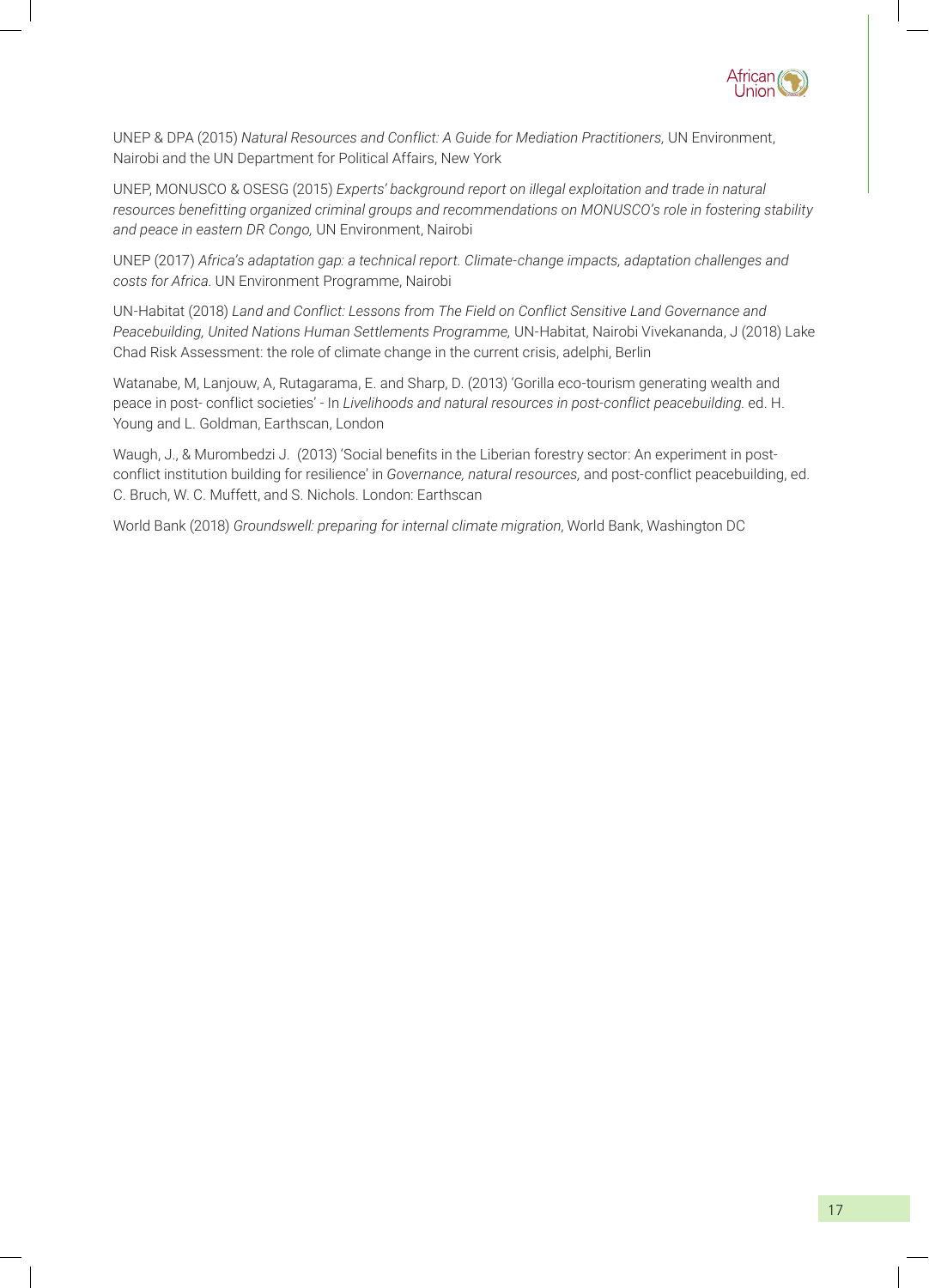

UNEP & DPA (2015) *Natural Resources and Conflict: A Guide for Mediation Practitioners,* UN Environment, Nairobi and the UN Department for Political Affairs, New York

UNEP, MONUSCO & OSESG (2015) *Experts' background report on illegal exploitation and trade in natural resources benefitting organized criminal groups and recommendations on MONUSCO's role in fostering stability and peace in eastern DR Congo,* UN Environment, Nairobi

UNEP (2017) *Africa's adaptation gap: a technical report. Climate-change impacts, adaptation challenges and costs for Africa*. UN Environment Programme, Nairobi

UN-Habitat (2018) *Land and Conflict: Lessons from The Field on Conflict Sensitive Land Governance and Peacebuilding, United Nations Human Settlements Programme,* UN-Habitat, Nairobi Vivekananda, J (2018) Lake Chad Risk Assessment: the role of climate change in the current crisis, adelphi, Berlin

Watanabe, M, Lanjouw, A, Rutagarama, E. and Sharp, D. (2013) 'Gorilla eco-tourism generating wealth and peace in post- conflict societies' - In *Livelihoods and natural resources in post-conflict peacebuilding*. ed. H. Young and L. Goldman, Earthscan, London

Waugh, J., & Murombedzi J. (2013) 'Social benefits in the Liberian forestry sector: An experiment in postconflict institution building for resilience' in *Governance, natural resources,* and post-conflict peacebuilding, ed. C. Bruch, W. C. Muffett, and S. Nichols. London: Earthscan

World Bank (2018) *Groundswell: preparing for internal climate migration*, World Bank, Washington DC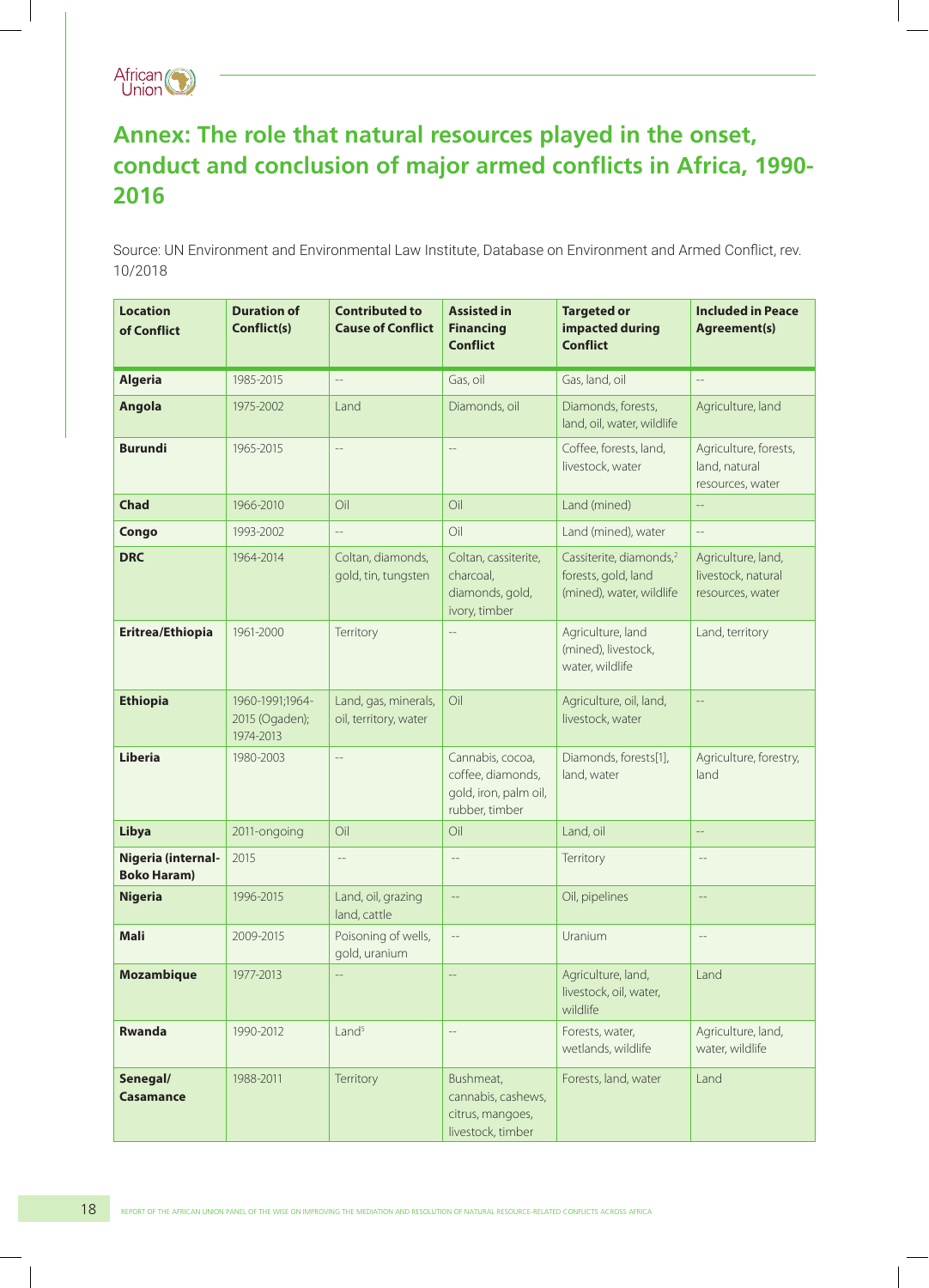

# **Annex: The role that natural resources played in the onset, conduct and conclusion of major armed conflicts in Africa, 1990- 2016**

Source: UN Environment and Environmental Law Institute, Database on Environment and Armed Conflict, rev. 10/2018

| <b>Location</b><br>of Conflict           | <b>Duration of</b><br>Conflict(s)              | <b>Contributed to</b><br><b>Cause of Conflict</b> | <b>Assisted in</b><br><b>Financing</b><br><b>Conflict</b>                        | <b>Targeted or</b><br>impacted during<br><b>Conflict</b>                               | <b>Included in Peace</b><br><b>Agreement(s)</b>              |
|------------------------------------------|------------------------------------------------|---------------------------------------------------|----------------------------------------------------------------------------------|----------------------------------------------------------------------------------------|--------------------------------------------------------------|
| <b>Algeria</b>                           | 1985-2015                                      | $\overline{a}$                                    | Gas, oil                                                                         | Gas, land, oil                                                                         | $\overline{a}$                                               |
| Angola                                   | 1975-2002                                      | Land                                              | Diamonds, oil                                                                    | Diamonds, forests,<br>land, oil, water, wildlife                                       | Agriculture, land                                            |
| <b>Burundi</b>                           | 1965-2015                                      | $\overline{a}$                                    | $\overline{\phantom{a}}$                                                         | Coffee, forests, land,<br>livestock, water                                             | Agriculture, forests,<br>land, natural<br>resources, water   |
| <b>Chad</b>                              | 1966-2010                                      | Oil                                               | Oil                                                                              | Land (mined)                                                                           | $-\,-$                                                       |
| Congo                                    | 1993-2002                                      | $- -$                                             | Oil                                                                              | Land (mined), water                                                                    | $-\,-$                                                       |
| <b>DRC</b>                               | 1964-2014                                      | Coltan, diamonds,<br>gold, tin, tungsten          | Coltan, cassiterite,<br>charcoal,<br>diamonds, gold,<br>ivory, timber            | Cassiterite, diamonds, <sup>2</sup><br>forests, gold, land<br>(mined), water, wildlife | Agriculture, land,<br>livestock, natural<br>resources, water |
| Eritrea/Ethiopia                         | 1961-2000                                      | Territory                                         | $-\,-$                                                                           | Agriculture, land<br>(mined), livestock,<br>water, wildlife                            | Land, territory                                              |
| <b>Ethiopia</b>                          | 1960-1991;1964-<br>2015 (Ogaden);<br>1974-2013 | Land, gas, minerals,<br>oil, territory, water     | Oil                                                                              | Agriculture, oil, land,<br>livestock, water                                            | $\overline{\phantom{a}}$                                     |
| <b>Liberia</b>                           | 1980-2003                                      | $\overline{\phantom{a}}$                          | Cannabis, cocoa,<br>coffee, diamonds,<br>gold, iron, palm oil,<br>rubber, timber | Diamonds, forests[1],<br>land, water                                                   | Agriculture, forestry,<br>land                               |
| Libya                                    | 2011-ongoing                                   | Oil                                               | Oil                                                                              | Land, oil                                                                              | $\overline{\phantom{a}}$                                     |
| Nigeria (internal-<br><b>Boko Haram)</b> | 2015                                           | $- -$                                             | $-\,-$                                                                           | Territory                                                                              | $\sim$ $-$                                                   |
| <b>Nigeria</b>                           | 1996-2015                                      | Land, oil, grazing<br>land, cattle                | $\overline{\phantom{a}}$                                                         | Oil, pipelines                                                                         |                                                              |
| <b>Mali</b>                              | 2009-2015                                      | Poisoning of wells,<br>gold, uranium              | $\overline{\phantom{a}}$                                                         | Uranium                                                                                | $\qquad \qquad -$                                            |
| <b>Mozambique</b>                        | 1977-2013                                      |                                                   |                                                                                  | Agriculture, land,<br>livestock, oil, water,<br>wildlife                               | Land                                                         |
| <b>Rwanda</b>                            | 1990-2012                                      | Land <sup>5</sup>                                 | $\overline{\phantom{a}}$                                                         | Forests, water,<br>wetlands, wildlife                                                  | Agriculture, land,<br>water, wildlife                        |
| Senegal/<br><b>Casamance</b>             | 1988-2011                                      | Territory                                         | Bushmeat,<br>cannabis, cashews,<br>citrus, mangoes,<br>livestock, timber         | Forests, land, water                                                                   | Land                                                         |